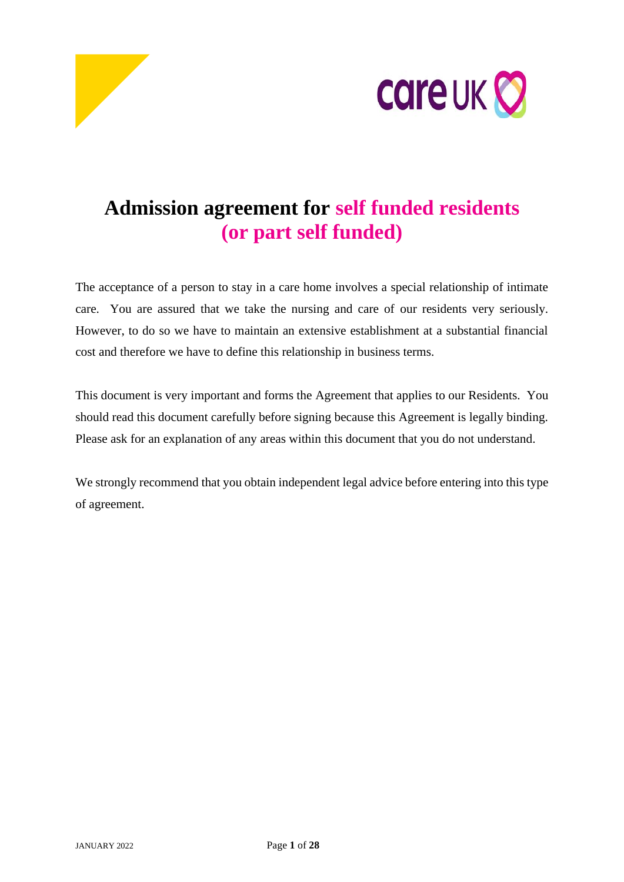



# **Admission agreement for self funded residents (or part self funded)**

The acceptance of a person to stay in a care home involves a special relationship of intimate care. You are assured that we take the nursing and care of our residents very seriously. However, to do so we have to maintain an extensive establishment at a substantial financial cost and therefore we have to define this relationship in business terms.

This document is very important and forms the Agreement that applies to our Residents. You should read this document carefully before signing because this Agreement is legally binding. Please ask for an explanation of any areas within this document that you do not understand.

We strongly recommend that you obtain independent legal advice before entering into this type of agreement.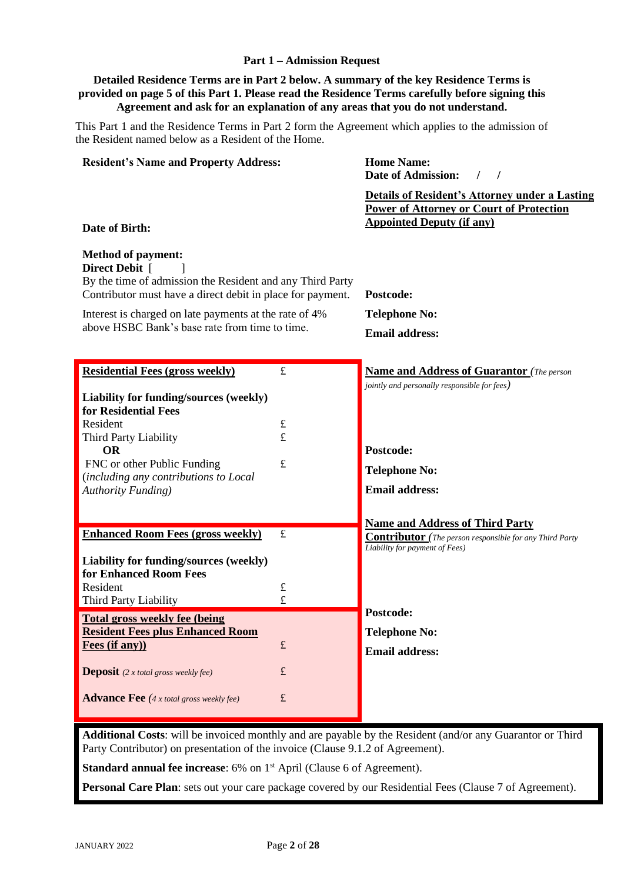## **Part 1 – Admission Request**

## **Detailed Residence Terms are in Part 2 below. A summary of the key Residence Terms is provided on page 5 of this Part 1. Please read the Residence Terms carefully before signing this Agreement and ask for an explanation of any areas that you do not understand.**

This Part 1 and the Residence Terms in Part 2 form the Agreement which applies to the admission of the Resident named below as a Resident of the Home.

| <b>Resident's Name and Property Address:</b>                                                                                                                                                                                                                                       |             | <b>Home Name:</b><br><b>Date of Admission:</b><br>$\sqrt{ }$                                                                                 |
|------------------------------------------------------------------------------------------------------------------------------------------------------------------------------------------------------------------------------------------------------------------------------------|-------------|----------------------------------------------------------------------------------------------------------------------------------------------|
| Date of Birth:                                                                                                                                                                                                                                                                     |             | <b>Details of Resident's Attorney under a Lasting</b><br><b>Power of Attorney or Court of Protection</b><br><b>Appointed Deputy (if any)</b> |
| <b>Method of payment:</b><br>Direct Debit [<br>By the time of admission the Resident and any Third Party<br>Contributor must have a direct debit in place for payment.<br>Interest is charged on late payments at the rate of 4%<br>above HSBC Bank's base rate from time to time. |             | Postcode:<br><b>Telephone No:</b><br><b>Email address:</b>                                                                                   |
| <b>Residential Fees (gross weekly)</b>                                                                                                                                                                                                                                             | $\pounds$   | <b>Name and Address of Guarantor</b> (The person                                                                                             |
| Liability for funding/sources (weekly)<br>for Residential Fees<br>Resident<br>Third Party Liability<br><b>OR</b><br>FNC or other Public Funding<br>(including any contributions to Local<br><b>Authority Funding</b> )                                                             | £<br>£<br>£ | jointly and personally responsible for fees)<br>Postcode:<br><b>Telephone No:</b><br><b>Email address:</b>                                   |
|                                                                                                                                                                                                                                                                                    |             |                                                                                                                                              |
| <b>Enhanced Room Fees (gross weekly)</b><br>Liability for funding/sources (weekly)                                                                                                                                                                                                 | $\pounds$   | <b>Name and Address of Third Party</b><br><b>Contributor</b> (The person responsible for any Third Party<br>Liability for payment of Fees)   |
| for Enhanced Room Fees                                                                                                                                                                                                                                                             |             |                                                                                                                                              |
| Resident<br>Third Party Liability                                                                                                                                                                                                                                                  | £<br>£      |                                                                                                                                              |
| <b>Total gross weekly fee (being)</b><br><b>Resident Fees plus Enhanced Room</b><br>Fees (if any))                                                                                                                                                                                 | $\pounds$   | Postcode:<br><b>Telephone No:</b><br><b>Email address:</b>                                                                                   |
| <b>Deposit</b> (2 x total gross weekly fee)                                                                                                                                                                                                                                        | $\pounds$   |                                                                                                                                              |
| <b>Advance Fee</b> $(4 x total gross weekly fee)$                                                                                                                                                                                                                                  | $\pounds$   |                                                                                                                                              |

**Additional Costs**: will be invoiced monthly and are payable by the Resident (and/or any Guarantor or Third Party Contributor) on presentation of the invoice (Clause 9.1.2 of Agreement).

**Standard annual fee increase**: 6% on 1<sup>st</sup> April (Clause 6 of Agreement).

**Personal Care Plan**: sets out your care package covered by our Residential Fees (Clause 7 of Agreement).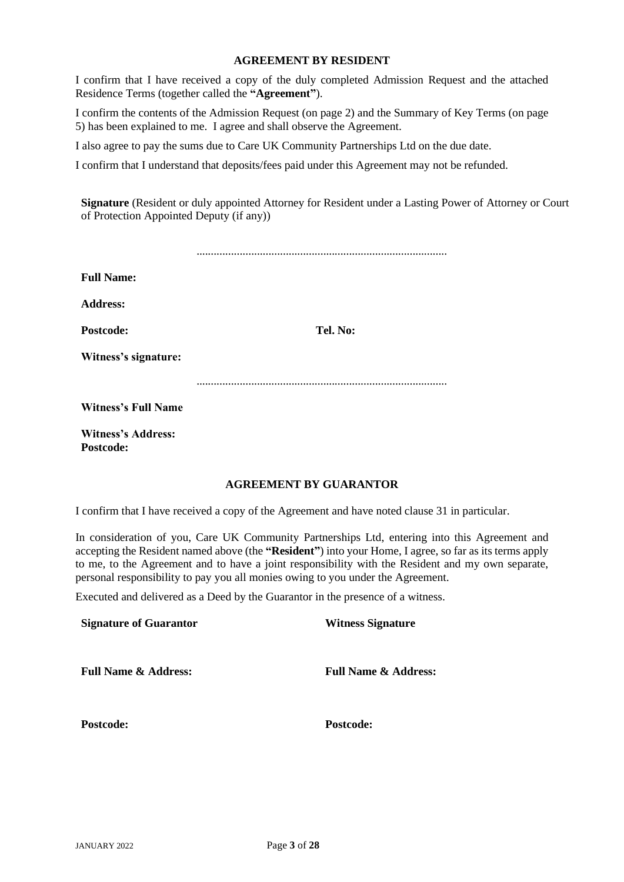#### **AGREEMENT BY RESIDENT**

I confirm that I have received a copy of the duly completed Admission Request and the attached Residence Terms (together called the **"Agreement"**).

I confirm the contents of the Admission Request (on page 2) and the Summary of Key Terms (on page 5) has been explained to me. I agree and shall observe the Agreement.

I also agree to pay the sums due to Care UK Community Partnerships Ltd on the due date.

I confirm that I understand that deposits/fees paid under this Agreement may not be refunded.

**Signature** (Resident or duly appointed Attorney for Resident under a Lasting Power of Attorney or Court of Protection Appointed Deputy (if any))

| <b>Full Name:</b>          |          |
|----------------------------|----------|
| <b>Address:</b>            |          |
| Postcode:                  | Tel. No: |
| Witness's signature:       |          |
|                            |          |
| <b>Witness's Full Name</b> |          |
| <b>Witness's Address:</b>  |          |

## **AGREEMENT BY GUARANTOR**

I confirm that I have received a copy of the Agreement and have noted clause 31 in particular.

In consideration of you, Care UK Community Partnerships Ltd, entering into this Agreement and accepting the Resident named above (the **"Resident"**) into your Home, I agree, so far as its terms apply to me, to the Agreement and to have a joint responsibility with the Resident and my own separate, personal responsibility to pay you all monies owing to you under the Agreement.

Executed and delivered as a Deed by the Guarantor in the presence of a witness.

| <b>Signature of Guarantor</b>   | <b>Witness Signature</b>        |
|---------------------------------|---------------------------------|
| <b>Full Name &amp; Address:</b> | <b>Full Name &amp; Address:</b> |
| Postcode:                       | Postcode:                       |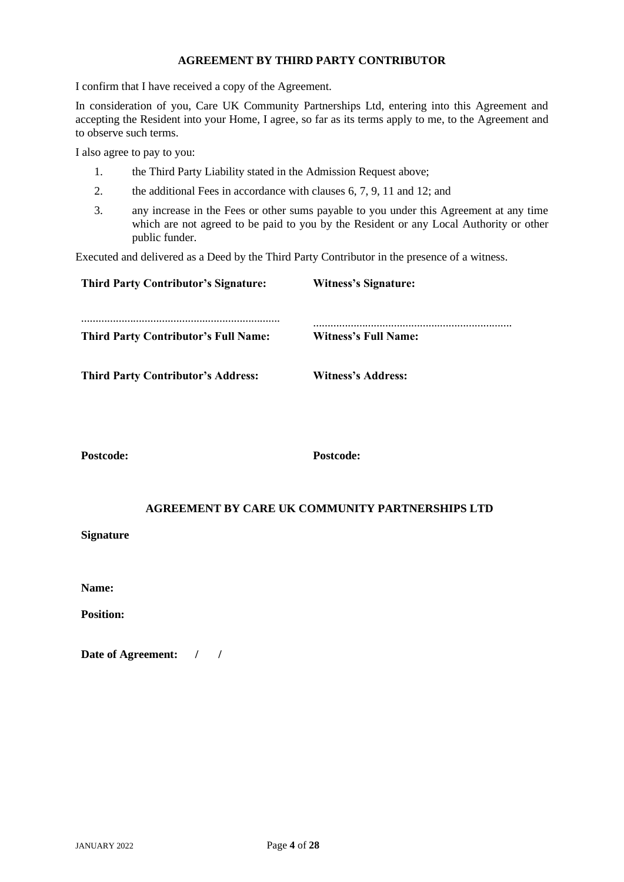## **AGREEMENT BY THIRD PARTY CONTRIBUTOR**

I confirm that I have received a copy of the Agreement.

In consideration of you, Care UK Community Partnerships Ltd, entering into this Agreement and accepting the Resident into your Home, I agree, so far as its terms apply to me, to the Agreement and to observe such terms.

I also agree to pay to you:

- 1. the Third Party Liability stated in the Admission Request above;
- 2. the additional Fees in accordance with clauses 6, 7, [9,](#page-14-0) [11](#page-16-0) and [12;](#page-16-1) and
- 3. any increase in the Fees or other sums payable to you under this Agreement at any time which are not agreed to be paid to you by the Resident or any Local Authority or other public funder.

Executed and delivered as a Deed by the Third Party Contributor in the presence of a witness.

| <b>Third Party Contributor's Signature:</b> | <b>Witness's Signature:</b> |
|---------------------------------------------|-----------------------------|
|                                             |                             |
| <b>Third Party Contributor's Full Name:</b> | <b>Witness's Full Name:</b> |
| <b>Third Party Contributor's Address:</b>   | <b>Witness's Address:</b>   |

**Postcode: Postcode:** 

## **AGREEMENT BY CARE UK COMMUNITY PARTNERSHIPS LTD**

**Signature**

**Name:** 

**Position:** 

**Date of Agreement: / /**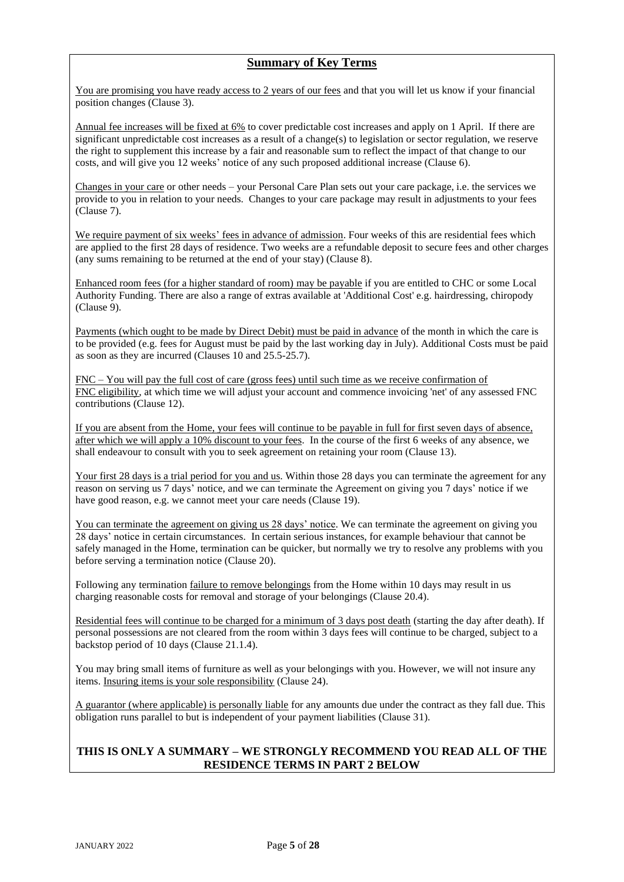## **Summary of Key Terms**

You are promising you have ready access to 2 years of our fees and that you will let us know if your financial position changes (Clause 3).

Annual fee increases will be fixed at 6% to cover predictable cost increases and apply on 1 April. If there are significant unpredictable cost increases as a result of a change(s) to legislation or sector regulation, we reserve the right to supplement this increase by a fair and reasonable sum to reflect the impact of that change to our costs, and will give you 12 weeks' notice of any such proposed additional increase (Clause 6).

Changes in your care or other needs – your Personal Care Plan sets out your care package, i.e. the services we provide to you in relation to your needs. Changes to your care package may result in adjustments to your fees (Clause 7).

We require payment of six weeks' fees in advance of admission. Four weeks of this are residential fees which are applied to the first 28 days of residence. Two weeks are a refundable deposit to secure fees and other charges (any sums remaining to be returned at the end of your stay) (Clause 8).

Enhanced room fees (for a higher standard of room) may be payable if you are entitled to CHC or some Local Authority Funding. There are also a range of extras available at 'Additional Cost' e.g. hairdressing, chiropody (Clause 9).

Payments (which ought to be made by Direct Debit) must be paid in advance of the month in which the care is to be provided (e.g. fees for August must be paid by the last working day in July). Additional Costs must be paid as soon as they are incurred (Clauses 10 and 25.5-25.7).

FNC – You will pay the full cost of care (gross fees) until such time as we receive confirmation of FNC eligibility, at which time we will adjust your account and commence invoicing 'net' of any assessed FNC contributions (Clause 12).

If you are absent from the Home, your fees will continue to be payable in full for first seven days of absence, after which we will apply a 10% discount to your fees. In the course of the first 6 weeks of any absence, we shall endeavour to consult with you to seek agreement on retaining your room (Clause 13).

Your first 28 days is a trial period for you and us. Within those 28 days you can terminate the agreement for any reason on serving us 7 days' notice, and we can terminate the Agreement on giving you 7 days' notice if we have good reason, e.g. we cannot meet your care needs (Clause 19).

You can terminate the agreement on giving us 28 days' notice. We can terminate the agreement on giving you 28 days' notice in certain circumstances. In certain serious instances, for example behaviour that cannot be safely managed in the Home, termination can be quicker, but normally we try to resolve any problems with you before serving a termination notice (Clause 20).

Following any termination failure to remove belongings from the Home within 10 days may result in us charging reasonable costs for removal and storage of your belongings (Clause 20.4).

Residential fees will continue to be charged for a minimum of 3 days post death (starting the day after death). If personal possessions are not cleared from the room within 3 days fees will continue to be charged, subject to a backstop period of 10 days (Clause 21.1.4).

You may bring small items of furniture as well as your belongings with you. However, we will not insure any items. Insuring items is your sole responsibility (Clause 24).

A guarantor (where applicable) is personally liable for any amounts due under the contract as they fall due. This obligation runs parallel to but is independent of your payment liabilities (Clause 31).

## **THIS IS ONLY A SUMMARY – WE STRONGLY RECOMMEND YOU READ ALL OF THE RESIDENCE TERMS IN PART 2 BELOW**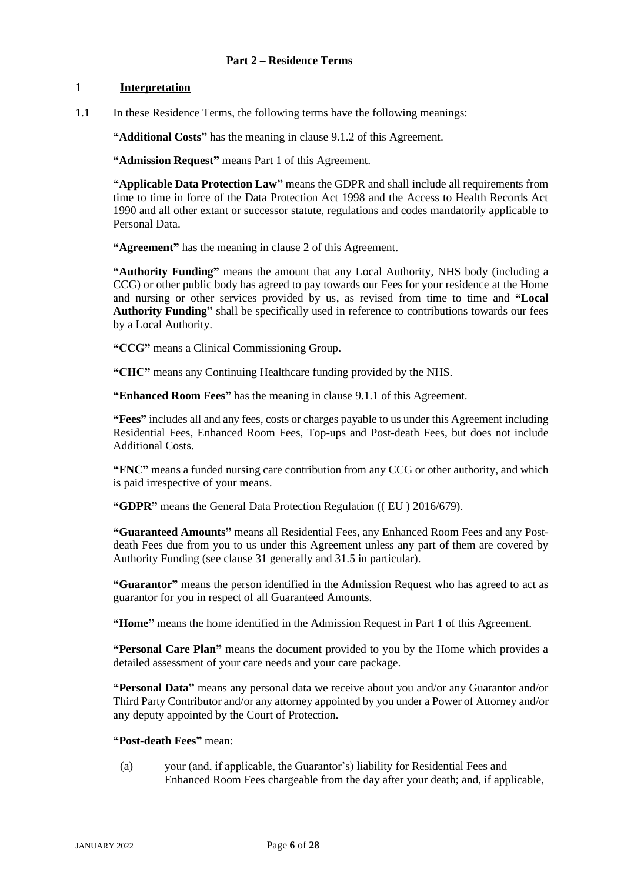## **1 Interpretation**

1.1 In these Residence Terms, the following terms have the following meanings:

**"Additional Costs"** has the meaning in clause 9.1.2 of this Agreement.

**"Admission Request"** means Part 1 of this Agreement.

**"Applicable Data Protection Law"** means the GDPR and shall include all requirements from time to time in force of the Data Protection Act 1998 and the Access to Health Records Act 1990 and all other extant or successor statute, regulations and codes mandatorily applicable to Personal Data.

**"Agreement"** has the meaning in clause [2](#page-7-0) of this Agreement.

**"Authority Funding"** means the amount that any Local Authority, NHS body (including a CCG) or other public body has agreed to pay towards our Fees for your residence at the Home and nursing or other services provided by us, as revised from time to time and **"Local Authority Funding"** shall be specifically used in reference to contributions towards our fees by a Local Authority.

**"CCG"** means a Clinical Commissioning Group.

**"CHC"** means any Continuing Healthcare funding provided by the NHS.

**"Enhanced Room Fees"** has the meaning in clause [9.1.1](#page-14-1) of this Agreement.

**"Fees"** includes all and any fees, costs or charges payable to us under this Agreement including Residential Fees, Enhanced Room Fees, Top-ups and Post-death Fees, but does not include Additional Costs.

**"FNC"** means a funded nursing care contribution from any CCG or other authority, and which is paid irrespective of your means.

**"GDPR"** means the General Data Protection Regulation (( EU ) 2016/679).

**"Guaranteed Amounts"** means all Residential Fees, any Enhanced Room Fees and any Postdeath Fees due from you to us under this Agreement unless any part of them are covered by Authority Funding (see clause 31 generally and 31.5 in particular).

**"Guarantor"** means the person identified in the Admission Request who has agreed to act as guarantor for you in respect of all Guaranteed Amounts.

**"Home"** means the home identified in the Admission Request in Part 1 of this Agreement.

**"Personal Care Plan"** means the document provided to you by the Home which provides a detailed assessment of your care needs and your care package.

**"Personal Data"** means any personal data we receive about you and/or any Guarantor and/or Third Party Contributor and/or any attorney appointed by you under a Power of Attorney and/or any deputy appointed by the Court of Protection.

## **"Post-death Fees"** mean:

(a) your (and, if applicable, the Guarantor's) liability for Residential Fees and Enhanced Room Fees chargeable from the day after your death; and, if applicable,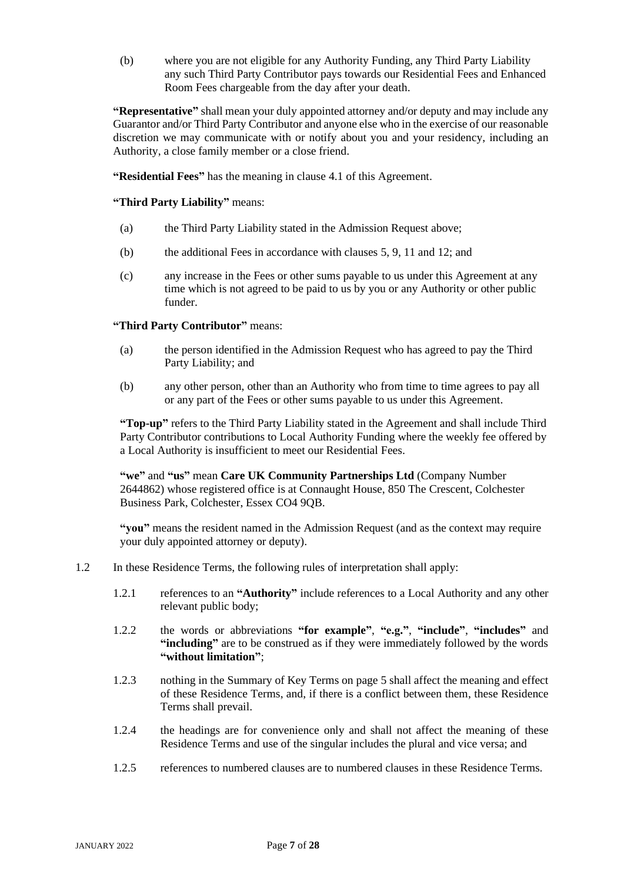(b) where you are not eligible for any Authority Funding, any Third Party Liability any such Third Party Contributor pays towards our Residential Fees and Enhanced Room Fees chargeable from the day after your death.

**"Representative"** shall mean your duly appointed attorney and/or deputy and may include any Guarantor and/or Third Party Contributor and anyone else who in the exercise of our reasonable discretion we may communicate with or notify about you and your residency, including an Authority, a close family member or a close friend.

**"Residential Fees"** has the meaning in clause [4.1](#page-8-0) of this Agreement.

**"Third Party Liability"** means:

- (a) the Third Party Liability stated in the Admission Request above;
- (b) the additional Fees in accordance with clauses 5, [9,](#page-14-0) [11](#page-16-0) an[d 12;](#page-16-1) and
- (c) any increase in the Fees or other sums payable to us under this Agreement at any time which is not agreed to be paid to us by you or any Authority or other public funder.

**"Third Party Contributor"** means:

- (a) the person identified in the Admission Request who has agreed to pay the Third Party Liability; and
- (b) any other person, other than an Authority who from time to time agrees to pay all or any part of the Fees or other sums payable to us under this Agreement.

**"Top-up"** refers to the Third Party Liability stated in the Agreement and shall include Third Party Contributor contributions to Local Authority Funding where the weekly fee offered by a Local Authority is insufficient to meet our Residential Fees.

**"we"** and **"us"** mean **Care UK Community Partnerships Ltd** (Company Number 2644862) whose registered office is at Connaught House, 850 The Crescent, Colchester Business Park, Colchester, Essex CO4 9QB.

**"you"** means the resident named in the Admission Request (and as the context may require your duly appointed attorney or deputy).

- 1.2 In these Residence Terms, the following rules of interpretation shall apply:
	- 1.2.1 references to an **"Authority"** include references to a Local Authority and any other relevant public body;
	- 1.2.2 the words or abbreviations **"for example"**, **"e.g."**, **"include"**, **"includes"** and **"including"** are to be construed as if they were immediately followed by the words **"without limitation"**;
	- 1.2.3 nothing in the Summary of Key Terms on page 5 shall affect the meaning and effect of these Residence Terms, and, if there is a conflict between them, these Residence Terms shall prevail.
	- 1.2.4 the headings are for convenience only and shall not affect the meaning of these Residence Terms and use of the singular includes the plural and vice versa; and
	- 1.2.5 references to numbered clauses are to numbered clauses in these Residence Terms.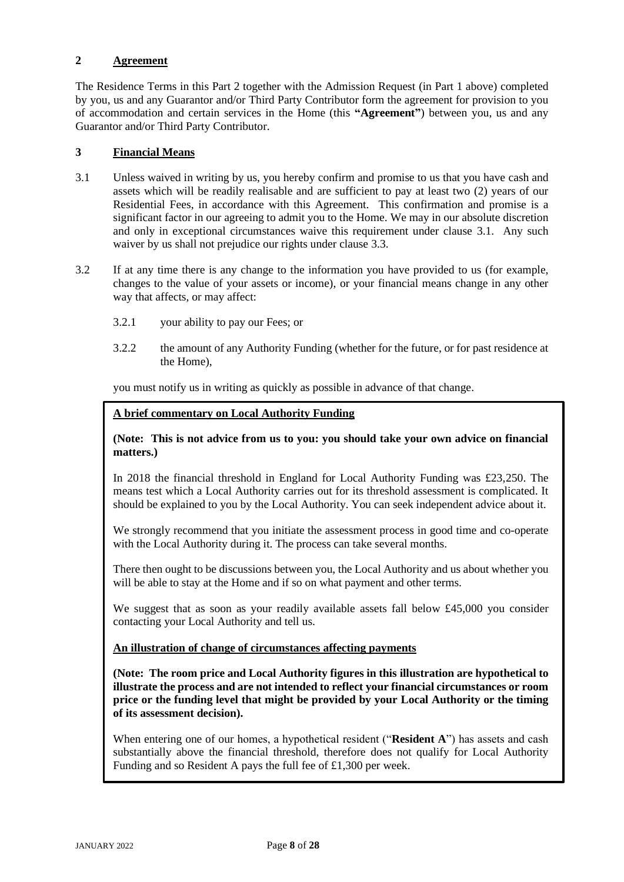## <span id="page-7-0"></span>**2 Agreement**

The Residence Terms in this Part 2 together with the Admission Request (in Part 1 above) completed by you, us and any Guarantor and/or Third Party Contributor form the agreement for provision to you of accommodation and certain services in the Home (this **"Agreement"**) between you, us and any Guarantor and/or Third Party Contributor.

## **3 Financial Means**

- <span id="page-7-1"></span>3.1 Unless waived in writing by us, you hereby confirm and promise to us that you have cash and assets which will be readily realisable and are sufficient to pay at least two (2) years of our Residential Fees, in accordance with this Agreement. This confirmation and promise is a significant factor in our agreeing to admit you to the Home. We may in our absolute discretion and only in exceptional circumstances waive this requirement under clause [3.1.](#page-7-1) Any such waiver by us shall not prejudice our rights under clause [3.3.](#page-8-1)
- <span id="page-7-2"></span>3.2 If at any time there is any change to the information you have provided to us (for example, changes to the value of your assets or income), or your financial means change in any other way that affects, or may affect:
	- 3.2.1 your ability to pay our Fees; or
	- 3.2.2 the amount of any Authority Funding (whether for the future, or for past residence at the Home),

you must notify us in writing as quickly as possible in advance of that change.

## **A brief commentary on Local Authority Funding**

## **(Note: This is not advice from us to you: you should take your own advice on financial matters.)**

In 2018 the financial threshold in England for Local Authority Funding was £23,250. The means test which a Local Authority carries out for its threshold assessment is complicated. It should be explained to you by the Local Authority. You can seek independent advice about it.

We strongly recommend that you initiate the assessment process in good time and co-operate with the Local Authority during it. The process can take several months.

There then ought to be discussions between you, the Local Authority and us about whether you will be able to stay at the Home and if so on what payment and other terms.

We suggest that as soon as your readily available assets fall below £45,000 you consider contacting your Local Authority and tell us.

## **An illustration of change of circumstances affecting payments**

**(Note: The room price and Local Authority figures in this illustration are hypothetical to illustrate the process and are not intended to reflect your financial circumstances or room price or the funding level that might be provided by your Local Authority or the timing of its assessment decision).**

When entering one of our homes, a hypothetical resident ("**Resident A**") has assets and cash substantially above the financial threshold, therefore does not qualify for Local Authority Funding and so Resident A pays the full fee of £1,300 per week.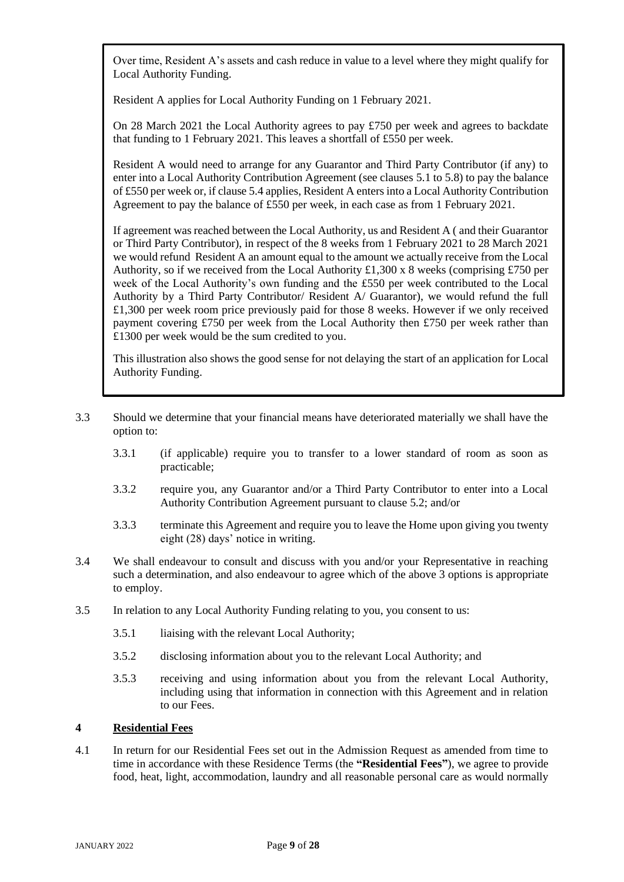Over time, Resident A's assets and cash reduce in value to a level where they might qualify for Local Authority Funding.

Resident A applies for Local Authority Funding on 1 February 2021.

On 28 March 2021 the Local Authority agrees to pay  $\text{\textsterling}750$  per week and agrees to backdate that funding to 1 February 2021. This leaves a shortfall of £550 per week.

Resident A would need to arrange for any Guarantor and Third Party Contributor (if any) to enter into a Local Authority Contribution Agreement (see clauses [5.1](#page-9-0) to 5.8) to pay the balance of £550 per week or, if claus[e 5.4](#page-10-0) applies, Resident A enters into a Local Authority Contribution Agreement to pay the balance of £550 per week, in each case as from 1 February 2021.

If agreement was reached between the Local Authority, us and Resident A ( and their Guarantor or Third Party Contributor), in respect of the 8 weeks from 1 February 2021 to 28 March 2021 we would refund Resident A an amount equal to the amount we actually receive from the Local Authority, so if we received from the Local Authority £1,300 x 8 weeks (comprising £750 per week of the Local Authority's own funding and the £550 per week contributed to the Local Authority by a Third Party Contributor/ Resident A/ Guarantor), we would refund the full £1,300 per week room price previously paid for those 8 weeks. However if we only received payment covering £750 per week from the Local Authority then £750 per week rather than £1300 per week would be the sum credited to you.

This illustration also shows the good sense for not delaying the start of an application for Local Authority Funding.

- <span id="page-8-1"></span>3.3 Should we determine that your financial means have deteriorated materially we shall have the option to:
	- 3.3.1 (if applicable) require you to transfer to a lower standard of room as soon as practicable;
	- 3.3.2 require you, any Guarantor and/or a Third Party Contributor to enter into a Local Authority Contribution Agreement pursuant to clause [5.2;](#page-9-1) and/or
	- 3.3.3 terminate this Agreement and require you to leave the Home upon giving you twenty eight (28) days' notice in writing.
- 3.4 We shall endeavour to consult and discuss with you and/or your Representative in reaching such a determination, and also endeavour to agree which of the above 3 options is appropriate to employ.
- 3.5 In relation to any Local Authority Funding relating to you, you consent to us:
	- 3.5.1 liaising with the relevant Local Authority;
	- 3.5.2 disclosing information about you to the relevant Local Authority; and
	- 3.5.3 receiving and using information about you from the relevant Local Authority, including using that information in connection with this Agreement and in relation to our Fees.

## **4 Residential Fees**

<span id="page-8-0"></span>4.1 In return for our Residential Fees set out in the Admission Request as amended from time to time in accordance with these Residence Terms (the **"Residential Fees"**), we agree to provide food, heat, light, accommodation, laundry and all reasonable personal care as would normally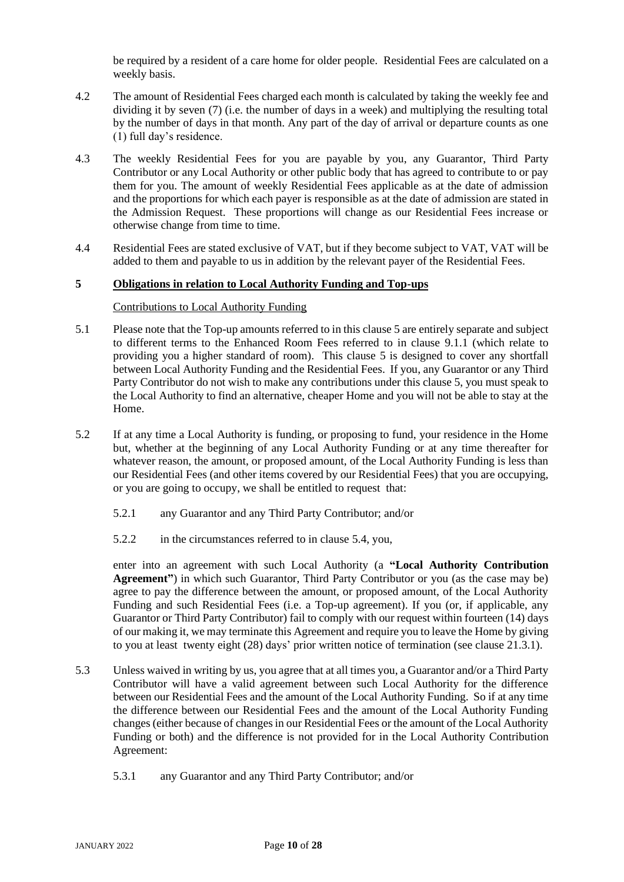be required by a resident of a care home for older people. Residential Fees are calculated on a weekly basis.

- 4.2 The amount of Residential Fees charged each month is calculated by taking the weekly fee and dividing it by seven (7) (i.e. the number of days in a week) and multiplying the resulting total by the number of days in that month. Any part of the day of arrival or departure counts as one (1) full day's residence.
- 4.3 The weekly Residential Fees for you are payable by you, any Guarantor, Third Party Contributor or any Local Authority or other public body that has agreed to contribute to or pay them for you. The amount of weekly Residential Fees applicable as at the date of admission and the proportions for which each payer is responsible as at the date of admission are stated in the Admission Request. These proportions will change as our Residential Fees increase or otherwise change from time to time.
- 4.4 Residential Fees are stated exclusive of VAT, but if they become subject to VAT, VAT will be added to them and payable to us in addition by the relevant payer of the Residential Fees.

## <span id="page-9-2"></span>**5 Obligations in relation to Local Authority Funding and Top-ups**

## Contributions to Local Authority Funding

- <span id="page-9-0"></span>5.1 Please note that the Top-up amounts referred to in this clause [5](#page-9-2) are entirely separate and subject to different terms to the Enhanced Room Fees referred to in clause [9.1.1](#page-14-1) (which relate to providing you a higher standard of room). This clause [5](#page-9-2) is designed to cover any shortfall between Local Authority Funding and the Residential Fees. If you, any Guarantor or any Third Party Contributor do not wish to make any contributions under this clause 5, you must speak to the Local Authority to find an alternative, cheaper Home and you will not be able to stay at the Home.
- <span id="page-9-1"></span>5.2 If at any time a Local Authority is funding, or proposing to fund, your residence in the Home but, whether at the beginning of any Local Authority Funding or at any time thereafter for whatever reason, the amount, or proposed amount, of the Local Authority Funding is less than our Residential Fees (and other items covered by our Residential Fees) that you are occupying, or you are going to occupy, we shall be entitled to request that:
	- 5.2.1 any Guarantor and any Third Party Contributor; and/or
	- 5.2.2 in the circumstances referred to in clause [5.4,](#page-10-0) you,

<span id="page-9-3"></span>enter into an agreement with such Local Authority (a **"Local Authority Contribution Agreement"**) in which such Guarantor, Third Party Contributor or you (as the case may be) agree to pay the difference between the amount, or proposed amount, of the Local Authority Funding and such Residential Fees (i.e. a Top-up agreement). If you (or, if applicable, any Guarantor or Third Party Contributor) fail to comply with our request within fourteen (14) days of our making it, we may terminate this Agreement and require you to leave the Home by giving to you at least twenty eight (28) days' prior written notice of termination (see clause 21.3.1).

- <span id="page-9-4"></span>5.3 Unless waived in writing by us, you agree that at all times you, a Guarantor and/or a Third Party Contributor will have a valid agreement between such Local Authority for the difference between our Residential Fees and the amount of the Local Authority Funding. So if at any time the difference between our Residential Fees and the amount of the Local Authority Funding changes (either because of changes in our Residential Fees or the amount of the Local Authority Funding or both) and the difference is not provided for in the Local Authority Contribution Agreement:
	- 5.3.1 any Guarantor and any Third Party Contributor; and/or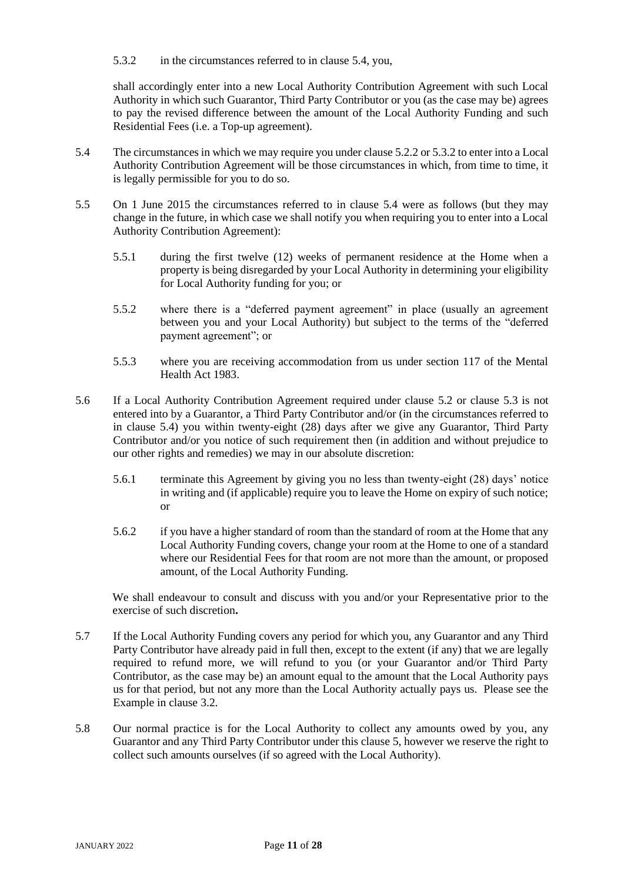<span id="page-10-1"></span>5.3.2 in the circumstances referred to in clause [5.4,](#page-10-0) you,

shall accordingly enter into a new Local Authority Contribution Agreement with such Local Authority in which such Guarantor, Third Party Contributor or you (as the case may be) agrees to pay the revised difference between the amount of the Local Authority Funding and such Residential Fees (i.e. a Top-up agreement).

- <span id="page-10-0"></span>5.4 The circumstances in which we may require you under clause [5.2.2](#page-9-3) o[r 5.3.2](#page-10-1) to enter into a Local Authority Contribution Agreement will be those circumstances in which, from time to time, it is legally permissible for you to do so.
- 5.5 On 1 June 2015 the circumstances referred to in clause [5.4](#page-10-0) were as follows (but they may change in the future, in which case we shall notify you when requiring you to enter into a Local Authority Contribution Agreement):
	- 5.5.1 during the first twelve (12) weeks of permanent residence at the Home when a property is being disregarded by your Local Authority in determining your eligibility for Local Authority funding for you; or
	- 5.5.2 where there is a "deferred payment agreement" in place (usually an agreement between you and your Local Authority) but subject to the terms of the "deferred payment agreement"; or
	- 5.5.3 where you are receiving accommodation from us under section 117 of the Mental Health Act 1983.
- <span id="page-10-2"></span>5.6 If a Local Authority Contribution Agreement required under clause 5.2 or clause [5.3](#page-9-4) is not entered into by a Guarantor, a Third Party Contributor and/or (in the circumstances referred to in clause [5.4\)](#page-10-0) you within twenty-eight (28) days after we give any Guarantor, Third Party Contributor and/or you notice of such requirement then (in addition and without prejudice to our other rights and remedies) we may in our absolute discretion:
	- 5.6.1 terminate this Agreement by giving you no less than twenty-eight (28) days' notice in writing and (if applicable) require you to leave the Home on expiry of such notice; or
	- 5.6.2 if you have a higher standard of room than the standard of room at the Home that any Local Authority Funding covers, change your room at the Home to one of a standard where our Residential Fees for that room are not more than the amount, or proposed amount, of the Local Authority Funding.

We shall endeavour to consult and discuss with you and/or your Representative prior to the exercise of such discretion**.** 

- 5.7 If the Local Authority Funding covers any period for which you, any Guarantor and any Third Party Contributor have already paid in full then, except to the extent (if any) that we are legally required to refund more, we will refund to you (or your Guarantor and/or Third Party Contributor, as the case may be) an amount equal to the amount that the Local Authority pays us for that period, but not any more than the Local Authority actually pays us. Please see the Example in clause [3.2.](#page-7-2)
- 5.8 Our normal practice is for the Local Authority to collect any amounts owed by you, any Guarantor and any Third Party Contributor under this claus[e 5,](#page-9-2) however we reserve the right to collect such amounts ourselves (if so agreed with the Local Authority).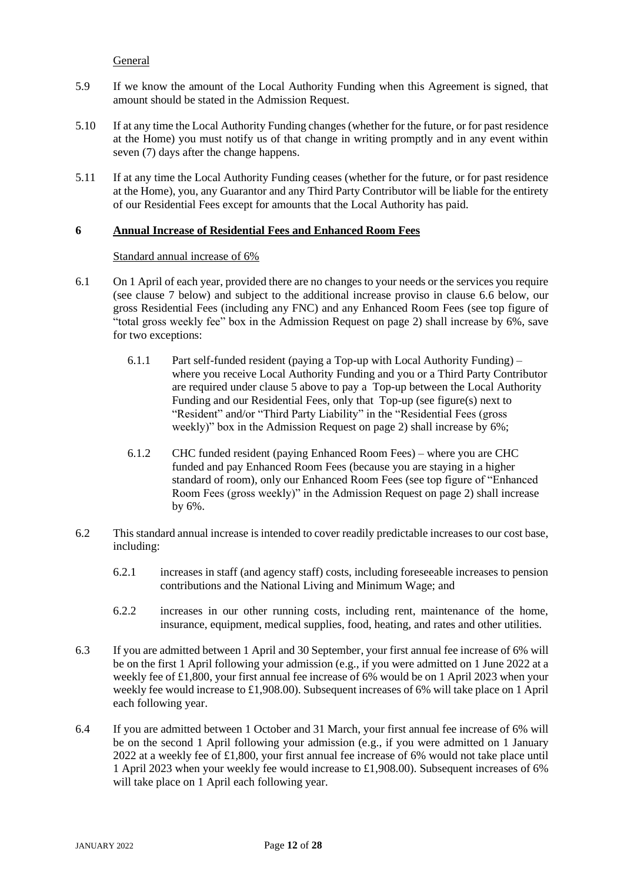## General

- 5.9 If we know the amount of the Local Authority Funding when this Agreement is signed, that amount should be stated in the Admission Request.
- 5.10 If at any time the Local Authority Funding changes (whether for the future, or for past residence at the Home) you must notify us of that change in writing promptly and in any event within seven (7) days after the change happens.
- 5.11 If at any time the Local Authority Funding ceases (whether for the future, or for past residence at the Home), you, any Guarantor and any Third Party Contributor will be liable for the entirety of our Residential Fees except for amounts that the Local Authority has paid.

## <span id="page-11-0"></span>**6 Annual Increase of Residential Fees and Enhanced Room Fees**

## Standard annual increase of 6%

- 6.1 On 1 April of each year, provided there are no changes to your needs or the services you require (see clause 7 below) and subject to the additional increase proviso in clause 6.6 below, our gross Residential Fees (including any FNC) and any Enhanced Room Fees (see top figure of "total gross weekly fee" box in the Admission Request on page 2) shall increase by 6%, save for two exceptions:
	- 6.1.1 Part self-funded resident (paying a Top-up with Local Authority Funding) where you receive Local Authority Funding and you or a Third Party Contributor are required under clause 5 above to pay a Top-up between the Local Authority Funding and our Residential Fees, only that Top-up (see figure(s) next to "Resident" and/or "Third Party Liability" in the "Residential Fees (gross weekly)" box in the Admission Request on page 2) shall increase by 6%;
	- 6.1.2 CHC funded resident (paying Enhanced Room Fees) where you are CHC funded and pay Enhanced Room Fees (because you are staying in a higher standard of room), only our Enhanced Room Fees (see top figure of "Enhanced Room Fees (gross weekly)" in the Admission Request on page 2) shall increase by 6%.
- 6.2 This standard annual increase is intended to cover readily predictable increases to our cost base, including:
	- 6.2.1 increases in staff (and agency staff) costs, including foreseeable increases to pension contributions and the National Living and Minimum Wage; and
	- 6.2.2 increases in our other running costs, including rent, maintenance of the home, insurance, equipment, medical supplies, food, heating, and rates and other utilities.
- 6.3 If you are admitted between 1 April and 30 September, your first annual fee increase of 6% will be on the first 1 April following your admission (e.g., if you were admitted on 1 June 2022 at a weekly fee of £1,800, your first annual fee increase of 6% would be on 1 April 2023 when your weekly fee would increase to £1,908.00). Subsequent increases of 6% will take place on 1 April each following year.
- 6.4 If you are admitted between 1 October and 31 March, your first annual fee increase of 6% will be on the second 1 April following your admission (e.g., if you were admitted on 1 January 2022 at a weekly fee of £1,800, your first annual fee increase of 6% would not take place until 1 April 2023 when your weekly fee would increase to £1,908.00). Subsequent increases of 6% will take place on 1 April each following year.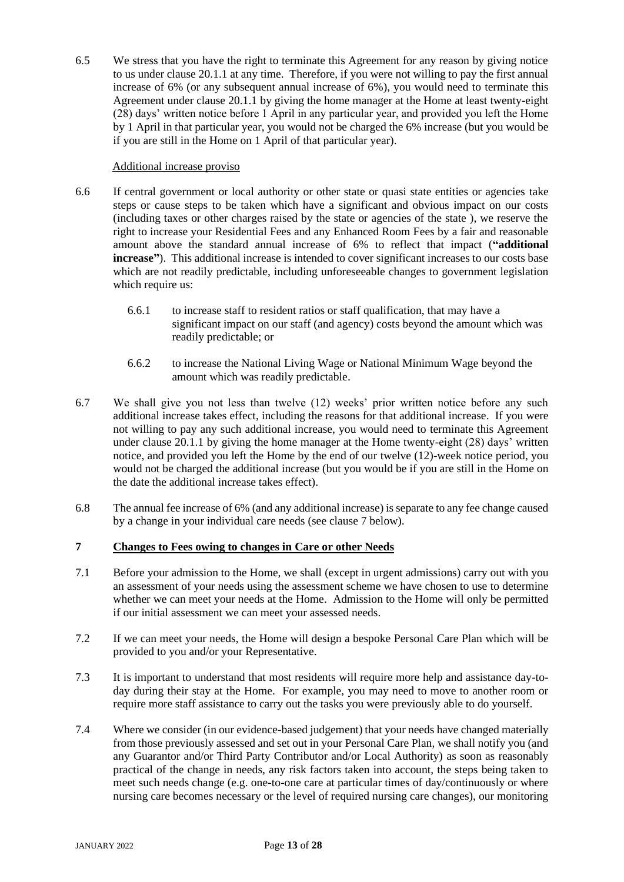6.5 We stress that you have the right to terminate this Agreement for any reason by giving notice to us under clause 20.1.1 at any time. Therefore, if you were not willing to pay the first annual increase of 6% (or any subsequent annual increase of 6%), you would need to terminate this Agreement under clause 20.1.1 by giving the home manager at the Home at least twenty-eight (28) days' written notice before 1 April in any particular year, and provided you left the Home by 1 April in that particular year, you would not be charged the 6% increase (but you would be if you are still in the Home on 1 April of that particular year).

## Additional increase proviso

- 6.6 If central government or local authority or other state or quasi state entities or agencies take steps or cause steps to be taken which have a significant and obvious impact on our costs (including taxes or other charges raised by the state or agencies of the state ), we reserve the right to increase your Residential Fees and any Enhanced Room Fees by a fair and reasonable amount above the standard annual increase of 6% to reflect that impact (**"additional increase"**). This additional increase is intended to cover significant increases to our costs base which are not readily predictable, including unforeseeable changes to government legislation which require us:
	- 6.6.1 to increase staff to resident ratios or staff qualification, that may have a significant impact on our staff (and agency) costs beyond the amount which was readily predictable; or
	- 6.6.2 to increase the National Living Wage or National Minimum Wage beyond the amount which was readily predictable.
- 6.7 We shall give you not less than twelve (12) weeks' prior written notice before any such additional increase takes effect, including the reasons for that additional increase. If you were not willing to pay any such additional increase, you would need to terminate this Agreement under clause 20.1.1 by giving the home manager at the Home twenty-eight (28) days' written notice, and provided you left the Home by the end of our twelve (12)-week notice period, you would not be charged the additional increase (but you would be if you are still in the Home on the date the additional increase takes effect).
- 6.8 The annual fee increase of 6% (and any additional increase) is separate to any fee change caused by a change in your individual care needs (see clause 7 below).

# **7 Changes to Fees owing to changes in Care or other Needs**

- 7.1 Before your admission to the Home, we shall (except in urgent admissions) carry out with you an assessment of your needs using the assessment scheme we have chosen to use to determine whether we can meet your needs at the Home. Admission to the Home will only be permitted if our initial assessment we can meet your assessed needs.
- 7.2 If we can meet your needs, the Home will design a bespoke Personal Care Plan which will be provided to you and/or your Representative.
- 7.3 It is important to understand that most residents will require more help and assistance day-today during their stay at the Home. For example, you may need to move to another room or require more staff assistance to carry out the tasks you were previously able to do yourself.
- 7.4 Where we consider (in our evidence-based judgement) that your needs have changed materially from those previously assessed and set out in your Personal Care Plan, we shall notify you (and any Guarantor and/or Third Party Contributor and/or Local Authority) as soon as reasonably practical of the change in needs, any risk factors taken into account, the steps being taken to meet such needs change (e.g. one-to-one care at particular times of day/continuously or where nursing care becomes necessary or the level of required nursing care changes), our monitoring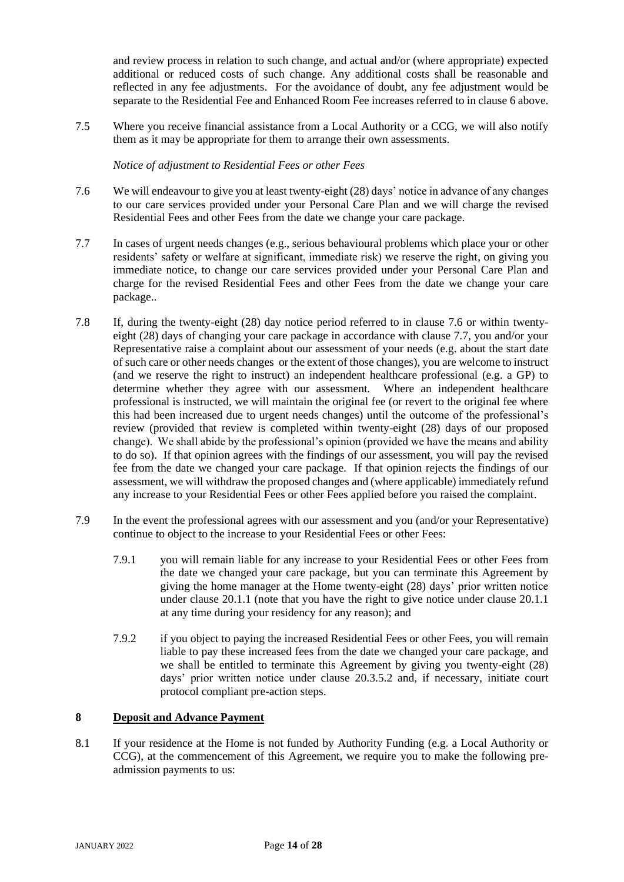and review process in relation to such change, and actual and/or (where appropriate) expected additional or reduced costs of such change. Any additional costs shall be reasonable and reflected in any fee adjustments. For the avoidance of doubt, any fee adjustment would be separate to the Residential Fee and Enhanced Room Fee increases referred to in clause [6](#page-11-0) above.

7.5 Where you receive financial assistance from a Local Authority or a CCG, we will also notify them as it may be appropriate for them to arrange their own assessments.

*Notice of adjustment to Residential Fees or other Fees*

- 7.6 We will endeavour to give you at least twenty-eight (28) days' notice in advance of any changes to our care services provided under your Personal Care Plan and we will charge the revised Residential Fees and other Fees from the date we change your care package.
- 7.7 In cases of urgent needs changes (e.g., serious behavioural problems which place your or other residents' safety or welfare at significant, immediate risk) we reserve the right, on giving you immediate notice, to change our care services provided under your Personal Care Plan and charge for the revised Residential Fees and other Fees from the date we change your care package..
- 7.8 If, during the twenty-eight (28) day notice period referred to in clause 7.6 or within twentyeight (28) days of changing your care package in accordance with clause 7.7, you and/or your Representative raise a complaint about our assessment of your needs (e.g. about the start date of such care or other needs changes or the extent of those changes), you are welcome to instruct (and we reserve the right to instruct) an independent healthcare professional (e.g. a GP) to determine whether they agree with our assessment. Where an independent healthcare professional is instructed, we will maintain the original fee (or revert to the original fee where this had been increased due to urgent needs changes) until the outcome of the professional's review (provided that review is completed within twenty-eight (28) days of our proposed change). We shall abide by the professional's opinion (provided we have the means and ability to do so). If that opinion agrees with the findings of our assessment, you will pay the revised fee from the date we changed your care package. If that opinion rejects the findings of our assessment, we will withdraw the proposed changes and (where applicable) immediately refund any increase to your Residential Fees or other Fees applied before you raised the complaint.
- 7.9 In the event the professional agrees with our assessment and you (and/or your Representative) continue to object to the increase to your Residential Fees or other Fees:
	- 7.9.1 you will remain liable for any increase to your Residential Fees or other Fees from the date we changed your care package, but you can terminate this Agreement by giving the home manager at the Home twenty-eight (28) days' prior written notice under clause 20.1.1 (note that you have the right to give notice under clause 20.1.1 at any time during your residency for any reason); and
	- 7.9.2 if you object to paying the increased Residential Fees or other Fees, you will remain liable to pay these increased fees from the date we changed your care package, and we shall be entitled to terminate this Agreement by giving you twenty-eight (28) days' prior written notice under clause 20.3.5.2 and, if necessary, initiate court protocol compliant pre-action steps.

## **8 Deposit and Advance Payment**

8.1 If your residence at the Home is not funded by Authority Funding (e.g. a Local Authority or CCG), at the commencement of this Agreement, we require you to make the following preadmission payments to us: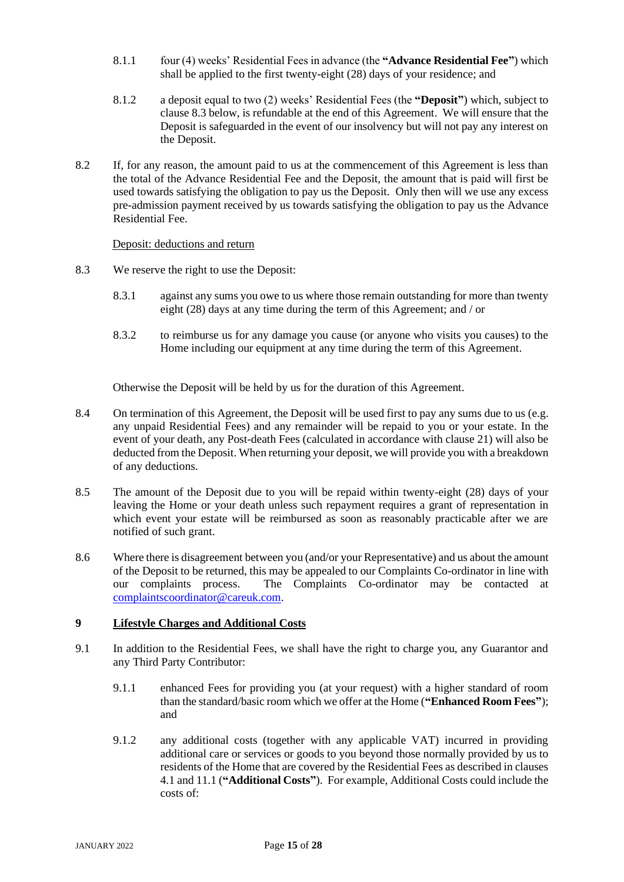- 8.1.1 four (4) weeks' Residential Fees in advance (the **"Advance Residential Fee"**) which shall be applied to the first twenty-eight (28) days of your residence; and
- 8.1.2 a deposit equal to two (2) weeks' Residential Fees (the **"Deposit"**) which, subject to clause 8.3 below, is refundable at the end of this Agreement. We will ensure that the Deposit is safeguarded in the event of our insolvency but will not pay any interest on the Deposit.
- 8.2 If, for any reason, the amount paid to us at the commencement of this Agreement is less than the total of the Advance Residential Fee and the Deposit, the amount that is paid will first be used towards satisfying the obligation to pay us the Deposit. Only then will we use any excess pre-admission payment received by us towards satisfying the obligation to pay us the Advance Residential Fee.

## Deposit: deductions and return

- 8.3 We reserve the right to use the Deposit:
	- 8.3.1 against any sums you owe to us where those remain outstanding for more than twenty eight (28) days at any time during the term of this Agreement; and / or
	- 8.3.2 to reimburse us for any damage you cause (or anyone who visits you causes) to the Home including our equipment at any time during the term of this Agreement.

Otherwise the Deposit will be held by us for the duration of this Agreement.

- 8.4 On termination of this Agreement, the Deposit will be used first to pay any sums due to us (e.g. any unpaid Residential Fees) and any remainder will be repaid to you or your estate. In the event of your death, any Post-death Fees (calculated in accordance with clause 21) will also be deducted from the Deposit. When returning your deposit, we will provide you with a breakdown of any deductions.
- 8.5 The amount of the Deposit due to you will be repaid within twenty-eight (28) days of your leaving the Home or your death unless such repayment requires a grant of representation in which event your estate will be reimbursed as soon as reasonably practicable after we are notified of such grant.
- 8.6 Where there is disagreement between you (and/or your Representative) and us about the amount of the Deposit to be returned, this may be appealed to our Complaints Co-ordinator in line with our complaints process. The Complaints Co-ordinator may be contacted at [complaintscoordinator@careuk.com.](mailto:complaintscoordinator@careuk.com)

## <span id="page-14-0"></span>**9 Lifestyle Charges and Additional Costs**

- <span id="page-14-1"></span>9.1 In addition to the Residential Fees, we shall have the right to charge you, any Guarantor and any Third Party Contributor:
	- 9.1.1 enhanced Fees for providing you (at your request) with a higher standard of room than the standard/basic room which we offer at the Home (**"Enhanced Room Fees"**); and
	- 9.1.2 any additional costs (together with any applicable VAT) incurred in providing additional care or services or goods to you beyond those normally provided by us to residents of the Home that are covered by the Residential Fees as described in clauses [4.1](#page-8-0) an[d 11.1](#page-16-2) (**"Additional Costs"**). For example, Additional Costs could include the costs of: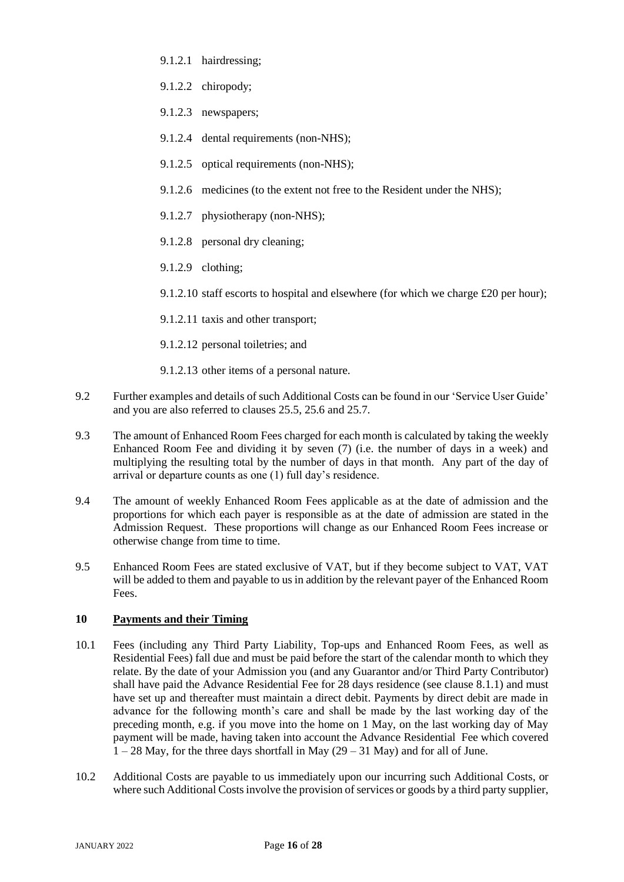- 9.1.2.1 hairdressing;
- 9.1.2.2 chiropody;
- 9.1.2.3 newspapers;
- 9.1.2.4 dental requirements (non-NHS);
- 9.1.2.5 optical requirements (non-NHS);
- 9.1.2.6 medicines (to the extent not free to the Resident under the NHS);
- 9.1.2.7 physiotherapy (non-NHS):
- 9.1.2.8 personal dry cleaning;
- 9.1.2.9 clothing;

9.1.2.10 staff escorts to hospital and elsewhere (for which we charge  $£20$  per hour);

- 9.1.2.11 taxis and other transport;
- 9.1.2.12 personal toiletries; and
- 9.1.2.13 other items of a personal nature.
- 9.2 Further examples and details of such Additional Costs can be found in our 'Service User Guide' and you are also referred to clauses 25.5, 25.6 and 25.7.
- 9.3 The amount of Enhanced Room Fees charged for each month is calculated by taking the weekly Enhanced Room Fee and dividing it by seven (7) (i.e. the number of days in a week) and multiplying the resulting total by the number of days in that month. Any part of the day of arrival or departure counts as one (1) full day's residence.
- 9.4 The amount of weekly Enhanced Room Fees applicable as at the date of admission and the proportions for which each payer is responsible as at the date of admission are stated in the Admission Request. These proportions will change as our Enhanced Room Fees increase or otherwise change from time to time.
- 9.5 Enhanced Room Fees are stated exclusive of VAT, but if they become subject to VAT, VAT will be added to them and payable to us in addition by the relevant payer of the Enhanced Room Fees.

## **10 Payments and their Timing**

- 10.1 Fees (including any Third Party Liability, Top-ups and Enhanced Room Fees, as well as Residential Fees) fall due and must be paid before the start of the calendar month to which they relate. By the date of your Admission you (and any Guarantor and/or Third Party Contributor) shall have paid the Advance Residential Fee for 28 days residence (see clause 8.1.1) and must have set up and thereafter must maintain a direct debit. Payments by direct debit are made in advance for the following month's care and shall be made by the last working day of the preceding month, e.g. if you move into the home on 1 May, on the last working day of May payment will be made, having taken into account the Advance Residential Fee which covered  $1 - 28$  May, for the three days shortfall in May  $(29 - 31$  May) and for all of June.
- 10.2 Additional Costs are payable to us immediately upon our incurring such Additional Costs, or where such Additional Costs involve the provision of services or goods by a third party supplier,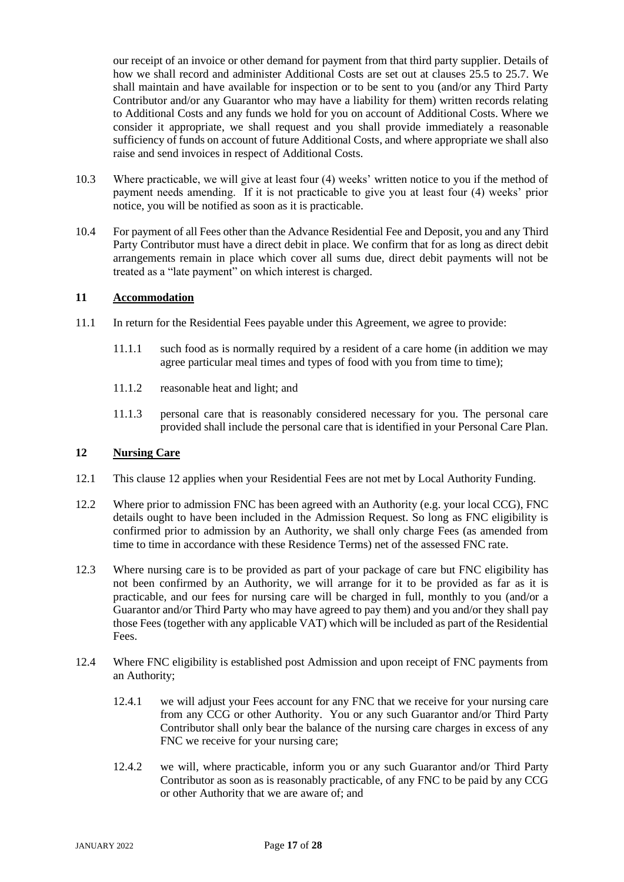our receipt of an invoice or other demand for payment from that third party supplier. Details of how we shall record and administer Additional Costs are set out at clauses 25.5 to 25.7. We shall maintain and have available for inspection or to be sent to you (and/or any Third Party Contributor and/or any Guarantor who may have a liability for them) written records relating to Additional Costs and any funds we hold for you on account of Additional Costs. Where we consider it appropriate, we shall request and you shall provide immediately a reasonable sufficiency of funds on account of future Additional Costs, and where appropriate we shall also raise and send invoices in respect of Additional Costs.

- 10.3 Where practicable, we will give at least four (4) weeks' written notice to you if the method of payment needs amending. If it is not practicable to give you at least four (4) weeks' prior notice, you will be notified as soon as it is practicable.
- 10.4 For payment of all Fees other than the Advance Residential Fee and Deposit, you and any Third Party Contributor must have a direct debit in place. We confirm that for as long as direct debit arrangements remain in place which cover all sums due, direct debit payments will not be treated as a "late payment" on which interest is charged.

## <span id="page-16-0"></span>**11 Accommodation**

- <span id="page-16-2"></span>11.1 In return for the Residential Fees payable under this Agreement, we agree to provide:
	- 11.1.1 such food as is normally required by a resident of a care home (in addition we may agree particular meal times and types of food with you from time to time);
	- 11.1.2 reasonable heat and light; and
	- 11.1.3 personal care that is reasonably considered necessary for you. The personal care provided shall include the personal care that is identified in your Personal Care Plan.

## <span id="page-16-1"></span>**12 Nursing Care**

- 12.1 This clause [12](#page-16-1) applies when your Residential Fees are not met by Local Authority Funding.
- 12.2 Where prior to admission FNC has been agreed with an Authority (e.g. your local CCG), FNC details ought to have been included in the Admission Request. So long as FNC eligibility is confirmed prior to admission by an Authority, we shall only charge Fees (as amended from time to time in accordance with these Residence Terms) net of the assessed FNC rate.
- 12.3 Where nursing care is to be provided as part of your package of care but FNC eligibility has not been confirmed by an Authority, we will arrange for it to be provided as far as it is practicable, and our fees for nursing care will be charged in full, monthly to you (and/or a Guarantor and/or Third Party who may have agreed to pay them) and you and/or they shall pay those Fees (together with any applicable VAT) which will be included as part of the Residential Fees.
- 12.4 Where FNC eligibility is established post Admission and upon receipt of FNC payments from an Authority;
	- 12.4.1 we will adjust your Fees account for any FNC that we receive for your nursing care from any CCG or other Authority. You or any such Guarantor and/or Third Party Contributor shall only bear the balance of the nursing care charges in excess of any FNC we receive for your nursing care;
	- 12.4.2 we will, where practicable, inform you or any such Guarantor and/or Third Party Contributor as soon as is reasonably practicable, of any FNC to be paid by any CCG or other Authority that we are aware of; and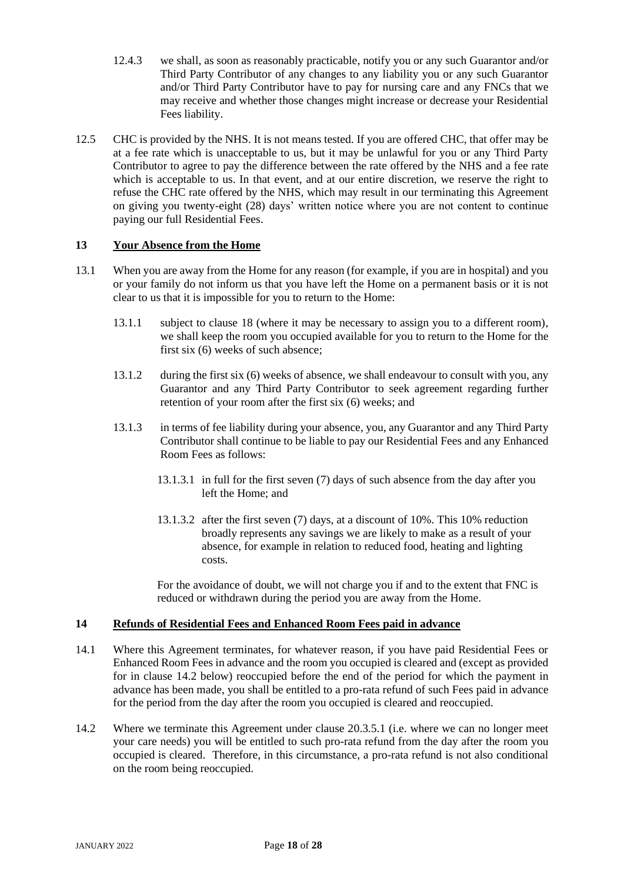- 12.4.3 we shall, as soon as reasonably practicable, notify you or any such Guarantor and/or Third Party Contributor of any changes to any liability you or any such Guarantor and/or Third Party Contributor have to pay for nursing care and any FNCs that we may receive and whether those changes might increase or decrease your Residential Fees liability.
- 12.5 CHC is provided by the NHS. It is not means tested. If you are offered CHC, that offer may be at a fee rate which is unacceptable to us, but it may be unlawful for you or any Third Party Contributor to agree to pay the difference between the rate offered by the NHS and a fee rate which is acceptable to us. In that event, and at our entire discretion, we reserve the right to refuse the CHC rate offered by the NHS, which may result in our terminating this Agreement on giving you twenty-eight (28) days' written notice where you are not content to continue paying our full Residential Fees.

## <span id="page-17-0"></span>**13 Your Absence from the Home**

- 13.1 When you are away from the Home for any reason (for example, if you are in hospital) and you or your family do not inform us that you have left the Home on a permanent basis or it is not clear to us that it is impossible for you to return to the Home:
	- 13.1.1 subject to clause 18 (where it may be necessary to assign you to a different room), we shall keep the room you occupied available for you to return to the Home for the first six (6) weeks of such absence;
	- 13.1.2 during the first six (6) weeks of absence, we shall endeavour to consult with you, any Guarantor and any Third Party Contributor to seek agreement regarding further retention of your room after the first six (6) weeks; and
	- 13.1.3 in terms of fee liability during your absence, you, any Guarantor and any Third Party Contributor shall continue to be liable to pay our Residential Fees and any Enhanced Room Fees as follows:
		- 13.1.3.1 in full for the first seven (7) days of such absence from the day after you left the Home; and
		- 13.1.3.2 after the first seven (7) days, at a discount of 10%. This 10% reduction broadly represents any savings we are likely to make as a result of your absence, for example in relation to reduced food, heating and lighting costs.

For the avoidance of doubt, we will not charge you if and to the extent that FNC is reduced or withdrawn during the period you are away from the Home.

## **14 Refunds of Residential Fees and Enhanced Room Fees paid in advance**

- 14.1 Where this Agreement terminates, for whatever reason, if you have paid Residential Fees or Enhanced Room Fees in advance and the room you occupied is cleared and (except as provided for in clause 14.2 below) reoccupied before the end of the period for which the payment in advance has been made, you shall be entitled to a pro-rata refund of such Fees paid in advance for the period from the day after the room you occupied is cleared and reoccupied.
- 14.2 Where we terminate this Agreement under clause 20.3.5.1 (i.e. where we can no longer meet your care needs) you will be entitled to such pro-rata refund from the day after the room you occupied is cleared. Therefore, in this circumstance, a pro-rata refund is not also conditional on the room being reoccupied.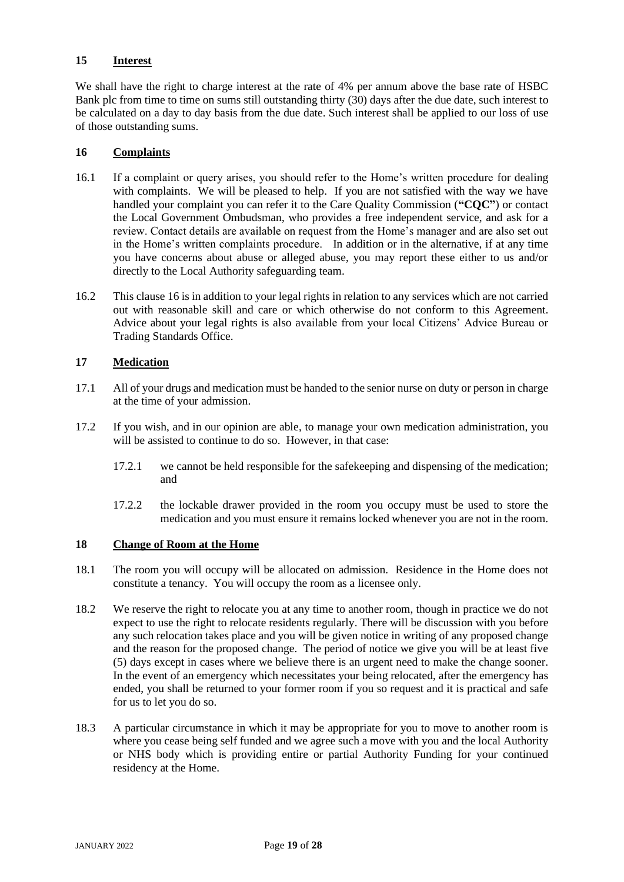## **15 Interest**

We shall have the right to charge interest at the rate of 4% per annum above the base rate of HSBC Bank plc from time to time on sums still outstanding thirty (30) days after the due date, such interest to be calculated on a day to day basis from the due date. Such interest shall be applied to our loss of use of those outstanding sums.

## <span id="page-18-0"></span>**16 Complaints**

- 16.1 If a complaint or query arises, you should refer to the Home's written procedure for dealing with complaints. We will be pleased to help. If you are not satisfied with the way we have handled your complaint you can refer it to the Care Quality Commission (**"CQC"**) or contact the Local Government Ombudsman, who provides a free independent service, and ask for a review. Contact details are available on request from the Home's manager and are also set out in the Home's written complaints procedure. In addition or in the alternative, if at any time you have concerns about abuse or alleged abuse, you may report these either to us and/or directly to the Local Authority safeguarding team.
- 16.2 This clause [16](#page-18-0) is in addition to your legal rights in relation to any services which are not carried out with reasonable skill and care or which otherwise do not conform to this Agreement. Advice about your legal rights is also available from your local Citizens' Advice Bureau or Trading Standards Office.

## **17 Medication**

- 17.1 All of your drugs and medication must be handed to the senior nurse on duty or person in charge at the time of your admission.
- 17.2 If you wish, and in our opinion are able, to manage your own medication administration, you will be assisted to continue to do so. However, in that case:
	- 17.2.1 we cannot be held responsible for the safekeeping and dispensing of the medication; and
	- 17.2.2 the lockable drawer provided in the room you occupy must be used to store the medication and you must ensure it remains locked whenever you are not in the room.

## **18 Change of Room at the Home**

- 18.1 The room you will occupy will be allocated on admission. Residence in the Home does not constitute a tenancy. You will occupy the room as a licensee only.
- 18.2 We reserve the right to relocate you at any time to another room, though in practice we do not expect to use the right to relocate residents regularly. There will be discussion with you before any such relocation takes place and you will be given notice in writing of any proposed change and the reason for the proposed change. The period of notice we give you will be at least five (5) days except in cases where we believe there is an urgent need to make the change sooner. In the event of an emergency which necessitates your being relocated, after the emergency has ended, you shall be returned to your former room if you so request and it is practical and safe for us to let you do so.
- 18.3 A particular circumstance in which it may be appropriate for you to move to another room is where you cease being self funded and we agree such a move with you and the local Authority or NHS body which is providing entire or partial Authority Funding for your continued residency at the Home.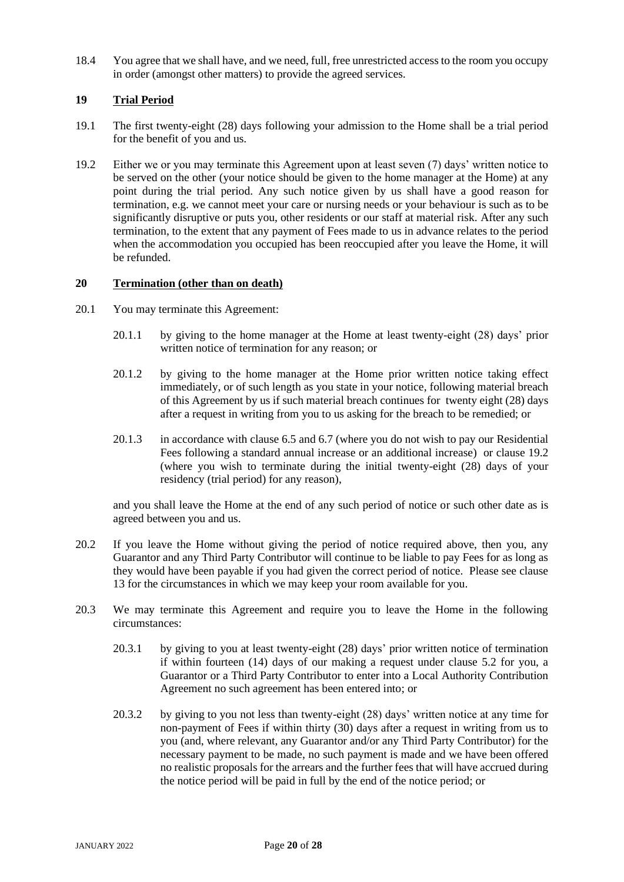18.4 You agree that we shall have, and we need, full, free unrestricted access to the room you occupy in order (amongst other matters) to provide the agreed services.

## **19 Trial Period**

- 19.1 The first twenty-eight (28) days following your admission to the Home shall be a trial period for the benefit of you and us.
- <span id="page-19-0"></span>19.2 Either we or you may terminate this Agreement upon at least seven (7) days' written notice to be served on the other (your notice should be given to the home manager at the Home) at any point during the trial period. Any such notice given by us shall have a good reason for termination, e.g. we cannot meet your care or nursing needs or your behaviour is such as to be significantly disruptive or puts you, other residents or our staff at material risk. After any such termination, to the extent that any payment of Fees made to us in advance relates to the period when the accommodation you occupied has been reoccupied after you leave the Home, it will be refunded.

## **20 Termination (other than on death)**

- 20.1 You may terminate this Agreement:
	- 20.1.1 by giving to the home manager at the Home at least twenty-eight (28) days' prior written notice of termination for any reason; or
	- 20.1.2 by giving to the home manager at the Home prior written notice taking effect immediately, or of such length as you state in your notice, following material breach of this Agreement by us if such material breach continues for twenty eight (28) days after a request in writing from you to us asking for the breach to be remedied; or
	- 20.1.3 in accordance with clause 6.5 and 6.7 (where you do not wish to pay our Residential Fees following a standard annual increase or an additional increase) or clause [19.2](#page-19-0) (where you wish to terminate during the initial twenty-eight (28) days of your residency (trial period) for any reason),

and you shall leave the Home at the end of any such period of notice or such other date as is agreed between you and us.

- 20.2 If you leave the Home without giving the period of notice required above, then you, any Guarantor and any Third Party Contributor will continue to be liable to pay Fees for as long as they would have been payable if you had given the correct period of notice. Please see clause [13](#page-17-0) for the circumstances in which we may keep your room available for you.
- 20.3 We may terminate this Agreement and require you to leave the Home in the following circumstances:
	- 20.3.1 by giving to you at least twenty-eight (28) days' prior written notice of termination if within fourteen (14) days of our making a request under clause 5.2 for you, a Guarantor or a Third Party Contributor to enter into a Local Authority Contribution Agreement no such agreement has been entered into; or
	- 20.3.2 by giving to you not less than twenty-eight (28) days' written notice at any time for non-payment of Fees if within thirty (30) days after a request in writing from us to you (and, where relevant, any Guarantor and/or any Third Party Contributor) for the necessary payment to be made, no such payment is made and we have been offered no realistic proposals for the arrears and the further fees that will have accrued during the notice period will be paid in full by the end of the notice period; or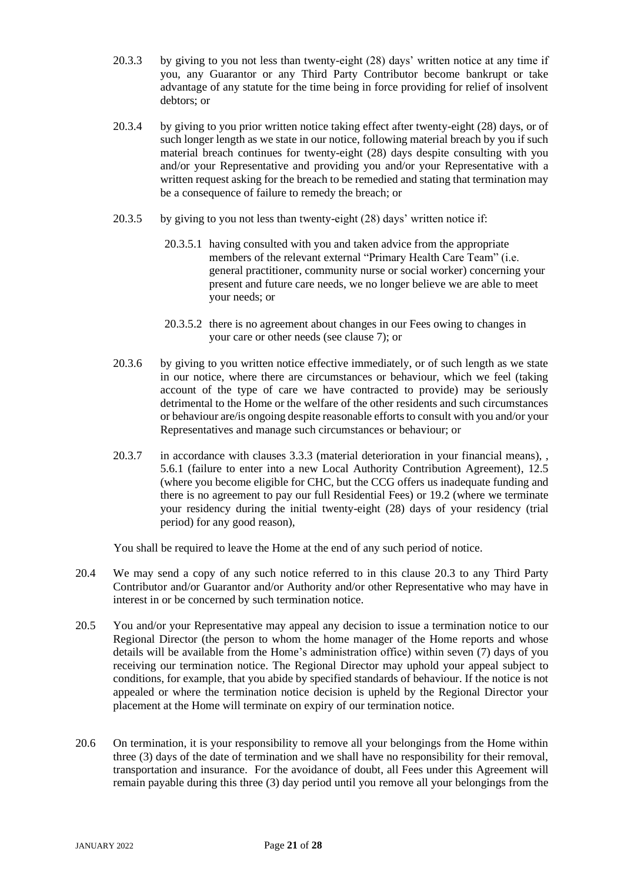- 20.3.3 by giving to you not less than twenty-eight (28) days' written notice at any time if you, any Guarantor or any Third Party Contributor become bankrupt or take advantage of any statute for the time being in force providing for relief of insolvent debtors; or
- 20.3.4 by giving to you prior written notice taking effect after twenty-eight (28) days, or of such longer length as we state in our notice, following material breach by you if such material breach continues for twenty-eight (28) days despite consulting with you and/or your Representative and providing you and/or your Representative with a written request asking for the breach to be remedied and stating that termination may be a consequence of failure to remedy the breach; or
- 20.3.5 by giving to you not less than twenty-eight (28) days' written notice if:
	- 20.3.5.1 having consulted with you and taken advice from the appropriate members of the relevant external "Primary Health Care Team" (i.e. general practitioner, community nurse or social worker) concerning your present and future care needs, we no longer believe we are able to meet your needs; or
	- 20.3.5.2 there is no agreement about changes in our Fees owing to changes in your care or other needs (see clause 7); or
- 20.3.6 by giving to you written notice effective immediately, or of such length as we state in our notice, where there are circumstances or behaviour, which we feel (taking account of the type of care we have contracted to provide) may be seriously detrimental to the Home or the welfare of the other residents and such circumstances or behaviour are/is ongoing despite reasonable efforts to consult with you and/or your Representatives and manage such circumstances or behaviour; or
- 20.3.7 in accordance with clauses [3.3.](#page-8-1)3 (material deterioration in your financial means), , [5.6.1](#page-10-2) (failure to enter into a new Local Authority Contribution Agreement), 12.5 (where you become eligible for CHC, but the CCG offers us inadequate funding and there is no agreement to pay our full Residential Fees) or [19.2](#page-19-0) (where we terminate your residency during the initial twenty-eight (28) days of your residency (trial period) for any good reason),

You shall be required to leave the Home at the end of any such period of notice.

- 20.4 We may send a copy of any such notice referred to in this clause 20.3 to any Third Party Contributor and/or Guarantor and/or Authority and/or other Representative who may have in interest in or be concerned by such termination notice.
- 20.5 You and/or your Representative may appeal any decision to issue a termination notice to our Regional Director (the person to whom the home manager of the Home reports and whose details will be available from the Home's administration office) within seven (7) days of you receiving our termination notice. The Regional Director may uphold your appeal subject to conditions, for example, that you abide by specified standards of behaviour. If the notice is not appealed or where the termination notice decision is upheld by the Regional Director your placement at the Home will terminate on expiry of our termination notice.
- 20.6 On termination, it is your responsibility to remove all your belongings from the Home within three (3) days of the date of termination and we shall have no responsibility for their removal, transportation and insurance. For the avoidance of doubt, all Fees under this Agreement will remain payable during this three (3) day period until you remove all your belongings from the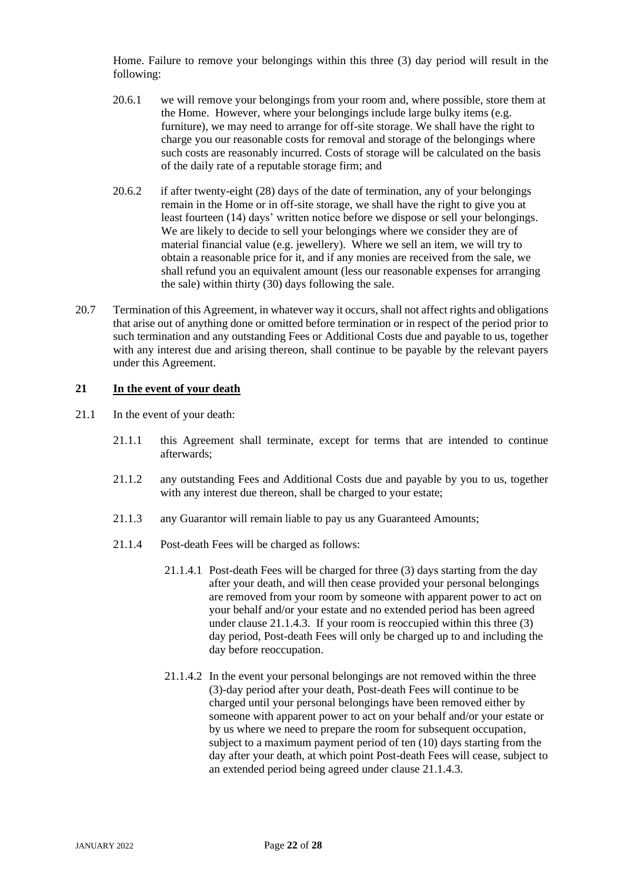Home. Failure to remove your belongings within this three (3) day period will result in the following:

- 20.6.1 we will remove your belongings from your room and, where possible, store them at the Home. However, where your belongings include large bulky items (e.g. furniture), we may need to arrange for off-site storage. We shall have the right to charge you our reasonable costs for removal and storage of the belongings where such costs are reasonably incurred. Costs of storage will be calculated on the basis of the daily rate of a reputable storage firm; and
- 20.6.2 if after twenty-eight (28) days of the date of termination, any of your belongings remain in the Home or in off-site storage, we shall have the right to give you at least fourteen (14) days' written notice before we dispose or sell your belongings. We are likely to decide to sell your belongings where we consider they are of material financial value (e.g. jewellery). Where we sell an item, we will try to obtain a reasonable price for it, and if any monies are received from the sale, we shall refund you an equivalent amount (less our reasonable expenses for arranging the sale) within thirty (30) days following the sale.
- 20.7 Termination of this Agreement, in whatever way it occurs, shall not affect rights and obligations that arise out of anything done or omitted before termination or in respect of the period prior to such termination and any outstanding Fees or Additional Costs due and payable to us, together with any interest due and arising thereon, shall continue to be payable by the relevant payers under this Agreement.

## **21 In the event of your death**

- 21.1 In the event of your death:
	- 21.1.1 this Agreement shall terminate, except for terms that are intended to continue afterwards;
	- 21.1.2 any outstanding Fees and Additional Costs due and payable by you to us, together with any interest due thereon, shall be charged to your estate:
	- 21.1.3 any Guarantor will remain liable to pay us any Guaranteed Amounts;
	- 21.1.4 Post-death Fees will be charged as follows:
		- 21.1.4.1 Post-death Fees will be charged for three (3) days starting from the day after your death, and will then cease provided your personal belongings are removed from your room by someone with apparent power to act on your behalf and/or your estate and no extended period has been agreed under clause 21.1.4.3. If your room is reoccupied within this three (3) day period, Post-death Fees will only be charged up to and including the day before reoccupation.
		- 21.1.4.2 In the event your personal belongings are not removed within the three (3)-day period after your death, Post-death Fees will continue to be charged until your personal belongings have been removed either by someone with apparent power to act on your behalf and/or your estate or by us where we need to prepare the room for subsequent occupation, subject to a maximum payment period of ten (10) days starting from the day after your death, at which point Post-death Fees will cease, subject to an extended period being agreed under clause 21.1.4.3.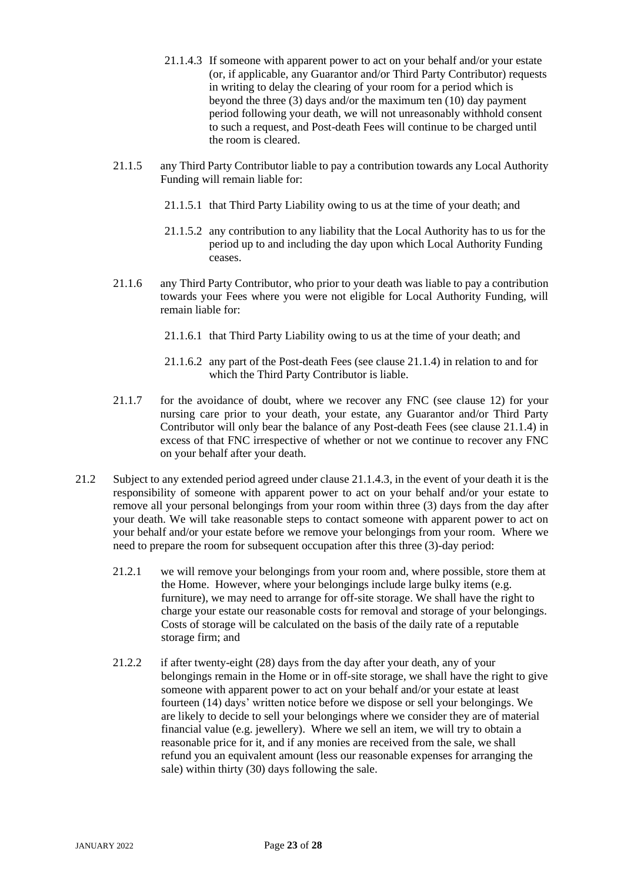- 21.1.4.3 If someone with apparent power to act on your behalf and/or your estate (or, if applicable, any Guarantor and/or Third Party Contributor) requests in writing to delay the clearing of your room for a period which is beyond the three (3) days and/or the maximum ten (10) day payment period following your death, we will not unreasonably withhold consent to such a request, and Post-death Fees will continue to be charged until the room is cleared.
- 21.1.5 any Third Party Contributor liable to pay a contribution towards any Local Authority Funding will remain liable for:
	- 21.1.5.1 that Third Party Liability owing to us at the time of your death; and
	- 21.1.5.2 any contribution to any liability that the Local Authority has to us for the period up to and including the day upon which Local Authority Funding ceases.
- 21.1.6 any Third Party Contributor, who prior to your death was liable to pay a contribution towards your Fees where you were not eligible for Local Authority Funding, will remain liable for:
	- 21.1.6.1 that Third Party Liability owing to us at the time of your death; and
	- 21.1.6.2 any part of the Post-death Fees (see clause 21.1.4) in relation to and for which the Third Party Contributor is liable.
- 21.1.7 for the avoidance of doubt, where we recover any FNC (see clause 12) for your nursing care prior to your death, your estate, any Guarantor and/or Third Party Contributor will only bear the balance of any Post-death Fees (see clause 21.1.4) in excess of that FNC irrespective of whether or not we continue to recover any FNC on your behalf after your death.
- 21.2 Subject to any extended period agreed under clause 21.1.4.3, in the event of your death it is the responsibility of someone with apparent power to act on your behalf and/or your estate to remove all your personal belongings from your room within three (3) days from the day after your death. We will take reasonable steps to contact someone with apparent power to act on your behalf and/or your estate before we remove your belongings from your room. Where we need to prepare the room for subsequent occupation after this three (3)-day period:
	- 21.2.1 we will remove your belongings from your room and, where possible, store them at the Home. However, where your belongings include large bulky items (e.g. furniture), we may need to arrange for off-site storage. We shall have the right to charge your estate our reasonable costs for removal and storage of your belongings. Costs of storage will be calculated on the basis of the daily rate of a reputable storage firm; and
	- 21.2.2 if after twenty-eight (28) days from the day after your death, any of your belongings remain in the Home or in off-site storage, we shall have the right to give someone with apparent power to act on your behalf and/or your estate at least fourteen (14) days' written notice before we dispose or sell your belongings. We are likely to decide to sell your belongings where we consider they are of material financial value (e.g. jewellery). Where we sell an item, we will try to obtain a reasonable price for it, and if any monies are received from the sale, we shall refund you an equivalent amount (less our reasonable expenses for arranging the sale) within thirty (30) days following the sale.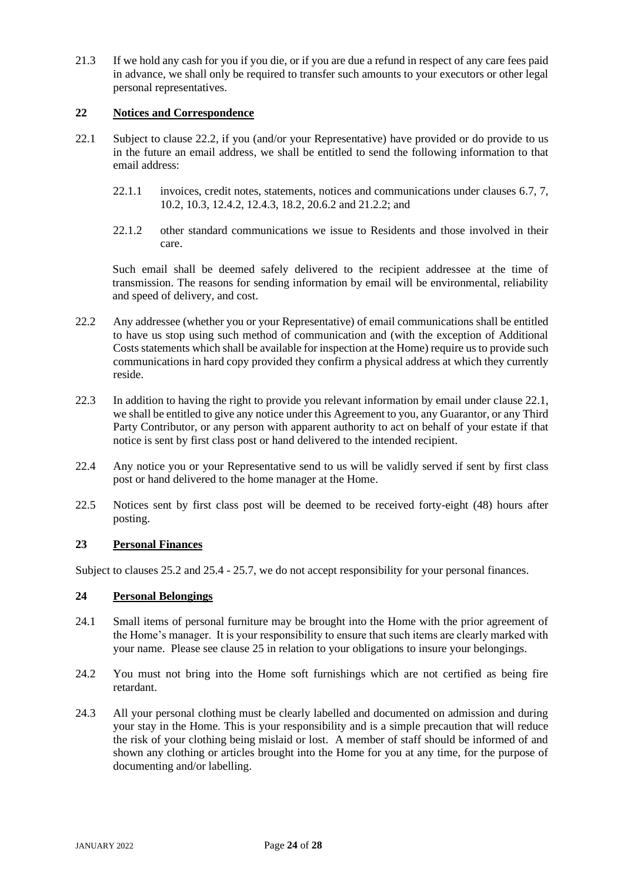21.3 If we hold any cash for you if you die, or if you are due a refund in respect of any care fees paid in advance, we shall only be required to transfer such amounts to your executors or other legal personal representatives.

## **22 Notices and Correspondence**

- 22.1 Subject to clause 22.2, if you (and/or your Representative) have provided or do provide to us in the future an email address, we shall be entitled to send the following information to that email address:
	- 22.1.1 invoices, credit notes, statements, notices and communications under clauses 6.7, 7, 10.2, 10.3, 12.4.2, 12.4.3, 18.2, 20.6.2 and 21.2.2; and
	- 22.1.2 other standard communications we issue to Residents and those involved in their care.

Such email shall be deemed safely delivered to the recipient addressee at the time of transmission. The reasons for sending information by email will be environmental, reliability and speed of delivery, and cost.

- 22.2 Any addressee (whether you or your Representative) of email communications shall be entitled to have us stop using such method of communication and (with the exception of Additional Costs statements which shall be available for inspection at the Home) require us to provide such communications in hard copy provided they confirm a physical address at which they currently reside.
- 22.3 In addition to having the right to provide you relevant information by email under clause 22.1, we shall be entitled to give any notice under this Agreement to you, any Guarantor, or any Third Party Contributor, or any person with apparent authority to act on behalf of your estate if that notice is sent by first class post or hand delivered to the intended recipient.
- 22.4 Any notice you or your Representative send to us will be validly served if sent by first class post or hand delivered to the home manager at the Home.
- 22.5 Notices sent by first class post will be deemed to be received forty-eight (48) hours after posting.

## **23 Personal Finances**

Subject to clauses [25.2](#page-24-0) and 25.4 - 25.7, we do not accept responsibility for your personal finances.

## **24 Personal Belongings**

- 24.1 Small items of personal furniture may be brought into the Home with the prior agreement of the Home's manager. It is your responsibility to ensure that such items are clearly marked with your name. Please see clause 25 in relation to your obligations to insure your belongings.
- 24.2 You must not bring into the Home soft furnishings which are not certified as being fire retardant.
- 24.3 All your personal clothing must be clearly labelled and documented on admission and during your stay in the Home. This is your responsibility and is a simple precaution that will reduce the risk of your clothing being mislaid or lost. A member of staff should be informed of and shown any clothing or articles brought into the Home for you at any time, for the purpose of documenting and/or labelling.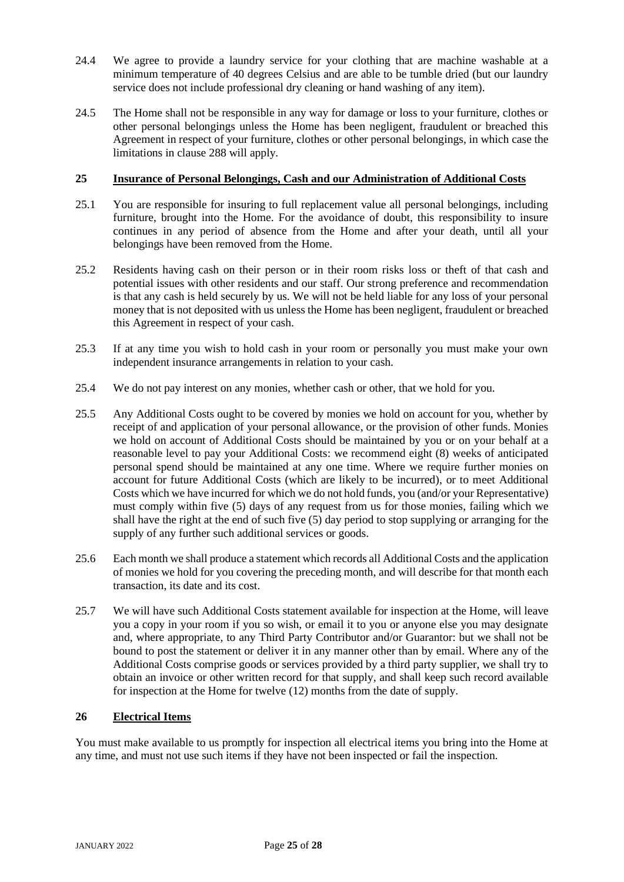- 24.4 We agree to provide a laundry service for your clothing that are machine washable at a minimum temperature of 40 degrees Celsius and are able to be tumble dried (but our laundry service does not include professional dry cleaning or hand washing of any item).
- 24.5 The Home shall not be responsible in any way for damage or loss to your furniture, clothes or other personal belongings unless the Home has been negligent, fraudulent or breached this Agreement in respect of your furniture, clothes or other personal belongings, in which case the limitations in clause [288](#page-25-0) will apply.

## **25 Insurance of Personal Belongings, Cash and our Administration of Additional Costs**

- 25.1 You are responsible for insuring to full replacement value all personal belongings, including furniture, brought into the Home. For the avoidance of doubt, this responsibility to insure continues in any period of absence from the Home and after your death, until all your belongings have been removed from the Home.
- <span id="page-24-0"></span>25.2 Residents having cash on their person or in their room risks loss or theft of that cash and potential issues with other residents and our staff. Our strong preference and recommendation is that any cash is held securely by us. We will not be held liable for any loss of your personal money that is not deposited with us unless the Home has been negligent, fraudulent or breached this Agreement in respect of your cash.
- 25.3 If at any time you wish to hold cash in your room or personally you must make your own independent insurance arrangements in relation to your cash.
- 25.4 We do not pay interest on any monies, whether cash or other, that we hold for you.
- 25.5 Any Additional Costs ought to be covered by monies we hold on account for you, whether by receipt of and application of your personal allowance, or the provision of other funds. Monies we hold on account of Additional Costs should be maintained by you or on your behalf at a reasonable level to pay your Additional Costs: we recommend eight (8) weeks of anticipated personal spend should be maintained at any one time. Where we require further monies on account for future Additional Costs (which are likely to be incurred), or to meet Additional Costs which we have incurred for which we do not hold funds, you (and/or your Representative) must comply within five (5) days of any request from us for those monies, failing which we shall have the right at the end of such five (5) day period to stop supplying or arranging for the supply of any further such additional services or goods.
- 25.6 Each month we shall produce a statement which records all Additional Costs and the application of monies we hold for you covering the preceding month, and will describe for that month each transaction, its date and its cost.
- 25.7 We will have such Additional Costs statement available for inspection at the Home, will leave you a copy in your room if you so wish, or email it to you or anyone else you may designate and, where appropriate, to any Third Party Contributor and/or Guarantor: but we shall not be bound to post the statement or deliver it in any manner other than by email. Where any of the Additional Costs comprise goods or services provided by a third party supplier, we shall try to obtain an invoice or other written record for that supply, and shall keep such record available for inspection at the Home for twelve (12) months from the date of supply.

## **26 Electrical Items**

You must make available to us promptly for inspection all electrical items you bring into the Home at any time, and must not use such items if they have not been inspected or fail the inspection.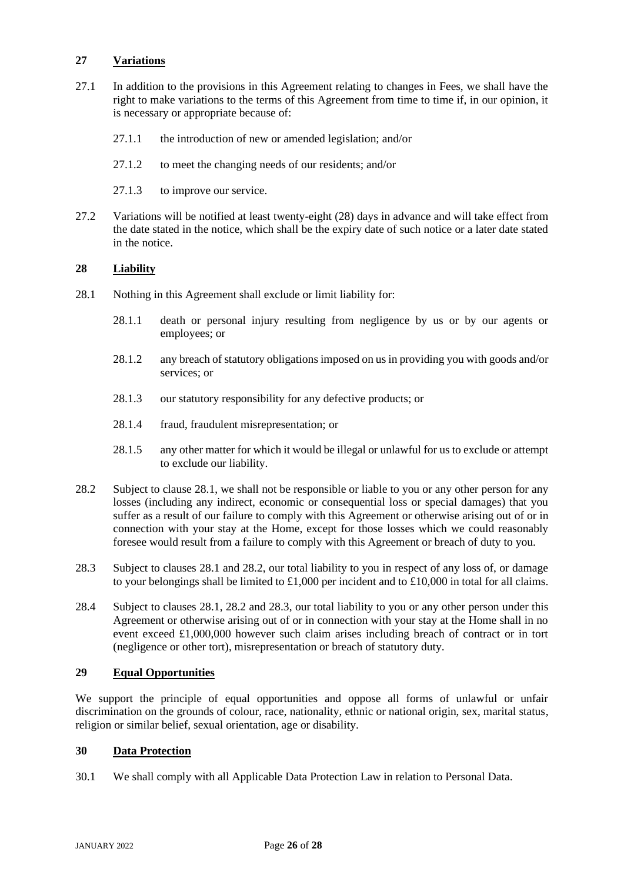## **27 Variations**

- 27.1 In addition to the provisions in this Agreement relating to changes in Fees, we shall have the right to make variations to the terms of this Agreement from time to time if, in our opinion, it is necessary or appropriate because of:
	- 27.1.1 the introduction of new or amended legislation; and/or
	- 27.1.2 to meet the changing needs of our residents; and/or
	- 27.1.3 to improve our service.
- 27.2 Variations will be notified at least twenty-eight (28) days in advance and will take effect from the date stated in the notice, which shall be the expiry date of such notice or a later date stated in the notice.

## <span id="page-25-0"></span>**28 Liability**

- <span id="page-25-1"></span>28.1 Nothing in this Agreement shall exclude or limit liability for:
	- 28.1.1 death or personal injury resulting from negligence by us or by our agents or employees; or
	- 28.1.2 any breach of statutory obligations imposed on us in providing you with goods and/or services; or
	- 28.1.3 our statutory responsibility for any defective products; or
	- 28.1.4 fraud, fraudulent misrepresentation; or
	- 28.1.5 any other matter for which it would be illegal or unlawful for us to exclude or attempt to exclude our liability.
- <span id="page-25-2"></span>28.2 Subject to clause [28.1,](#page-25-1) we shall not be responsible or liable to you or any other person for any losses (including any indirect, economic or consequential loss or special damages) that you suffer as a result of our failure to comply with this Agreement or otherwise arising out of or in connection with your stay at the Home, except for those losses which we could reasonably foresee would result from a failure to comply with this Agreement or breach of duty to you.
- <span id="page-25-3"></span>28.3 Subject to clauses [28.1](#page-25-1) and [28.2,](#page-25-2) our total liability to you in respect of any loss of, or damage to your belongings shall be limited to £1,000 per incident and to £10,000 in total for all claims.
- 28.4 Subject to clauses [28.1,](#page-25-1) [28.2](#page-25-2) and [28.3,](#page-25-3) our total liability to you or any other person under this Agreement or otherwise arising out of or in connection with your stay at the Home shall in no event exceed £1,000,000 however such claim arises including breach of contract or in tort (negligence or other tort), misrepresentation or breach of statutory duty.

## **29 Equal Opportunities**

We support the principle of equal opportunities and oppose all forms of unlawful or unfair discrimination on the grounds of colour, race, nationality, ethnic or national origin, sex, marital status, religion or similar belief, sexual orientation, age or disability.

## **30 Data Protection**

30.1 We shall comply with all Applicable Data Protection Law in relation to Personal Data.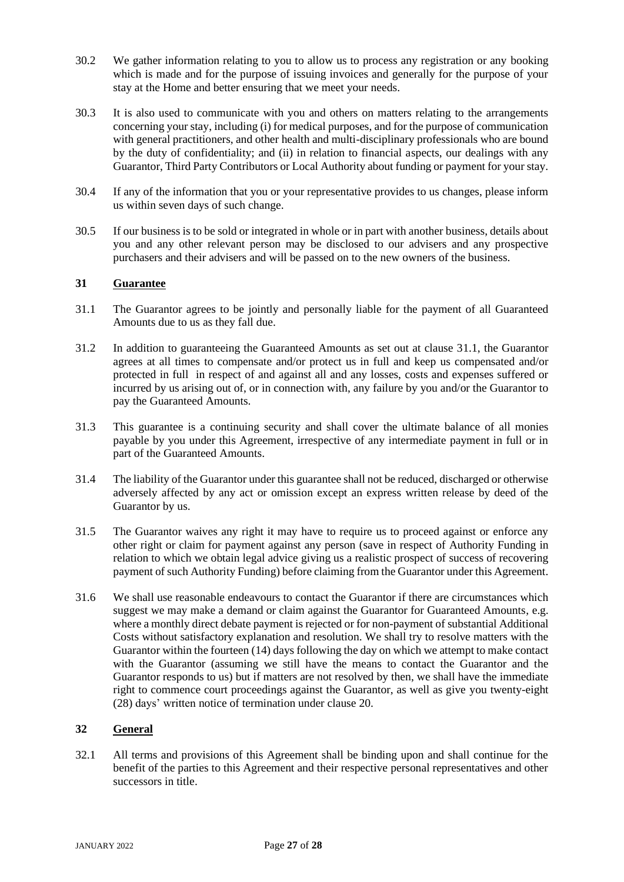- 30.2 We gather information relating to you to allow us to process any registration or any booking which is made and for the purpose of issuing invoices and generally for the purpose of your stay at the Home and better ensuring that we meet your needs.
- 30.3 It is also used to communicate with you and others on matters relating to the arrangements concerning your stay, including (i) for medical purposes, and for the purpose of communication with general practitioners, and other health and multi-disciplinary professionals who are bound by the duty of confidentiality; and (ii) in relation to financial aspects, our dealings with any Guarantor, Third Party Contributors or Local Authority about funding or payment for your stay.
- 30.4 If any of the information that you or your representative provides to us changes, please inform us within seven days of such change.
- 30.5 If our business is to be sold or integrated in whole or in part with another business, details about you and any other relevant person may be disclosed to our advisers and any prospective purchasers and their advisers and will be passed on to the new owners of the business.

## **31 Guarantee**

- 31.1 The Guarantor agrees to be jointly and personally liable for the payment of all Guaranteed Amounts due to us as they fall due.
- 31.2 In addition to guaranteeing the Guaranteed Amounts as set out at clause 31.1, the Guarantor agrees at all times to compensate and/or protect us in full and keep us compensated and/or protected in full in respect of and against all and any losses, costs and expenses suffered or incurred by us arising out of, or in connection with, any failure by you and/or the Guarantor to pay the Guaranteed Amounts.
- 31.3 This guarantee is a continuing security and shall cover the ultimate balance of all monies payable by you under this Agreement, irrespective of any intermediate payment in full or in part of the Guaranteed Amounts.
- 31.4 The liability of the Guarantor under this guarantee shall not be reduced, discharged or otherwise adversely affected by any act or omission except an express written release by deed of the Guarantor by us.
- 31.5 The Guarantor waives any right it may have to require us to proceed against or enforce any other right or claim for payment against any person (save in respect of Authority Funding in relation to which we obtain legal advice giving us a realistic prospect of success of recovering payment of such Authority Funding) before claiming from the Guarantor under this Agreement.
- 31.6 We shall use reasonable endeavours to contact the Guarantor if there are circumstances which suggest we may make a demand or claim against the Guarantor for Guaranteed Amounts, e.g. where a monthly direct debate payment is rejected or for non-payment of substantial Additional Costs without satisfactory explanation and resolution. We shall try to resolve matters with the Guarantor within the fourteen (14) days following the day on which we attempt to make contact with the Guarantor (assuming we still have the means to contact the Guarantor and the Guarantor responds to us) but if matters are not resolved by then, we shall have the immediate right to commence court proceedings against the Guarantor, as well as give you twenty-eight (28) days' written notice of termination under clause 20.

## **32 General**

32.1 All terms and provisions of this Agreement shall be binding upon and shall continue for the benefit of the parties to this Agreement and their respective personal representatives and other successors in title.